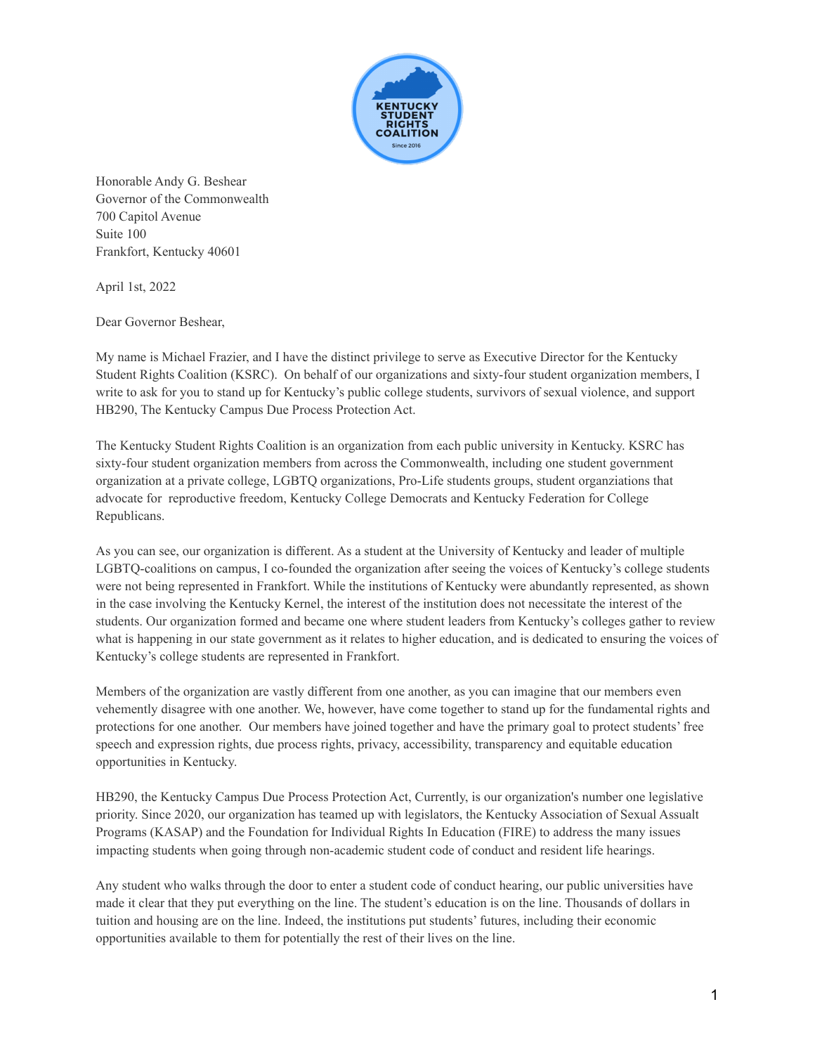

Honorable Andy G. Beshear Governor of the Commonwealth 700 Capitol Avenue Suite 100 Frankfort, Kentucky 40601

April 1st, 2022

Dear Governor Beshear,

My name is Michael Frazier, and I have the distinct privilege to serve as Executive Director for the Kentucky Student Rights Coalition (KSRC). On behalf of our organizations and sixty-four student organization members, I write to ask for you to stand up for Kentucky's public college students, survivors of sexual violence, and support HB290, The Kentucky Campus Due Process Protection Act.

The Kentucky Student Rights Coalition is an organization from each public university in Kentucky. KSRC has sixty-four student organization members from across the Commonwealth, including one student government organization at a private college, LGBTQ organizations, Pro-Life students groups, student organziations that advocate for reproductive freedom, Kentucky College Democrats and Kentucky Federation for College Republicans.

As you can see, our organization is different. As a student at the University of Kentucky and leader of multiple LGBTQ-coalitions on campus, I co-founded the organization after seeing the voices of Kentucky's college students were not being represented in Frankfort. While the institutions of Kentucky were abundantly represented, as shown in the case involving the Kentucky Kernel, the interest of the institution does not necessitate the interest of the students. Our organization formed and became one where student leaders from Kentucky's colleges gather to review what is happening in our state government as it relates to higher education, and is dedicated to ensuring the voices of Kentucky's college students are represented in Frankfort.

Members of the organization are vastly different from one another, as you can imagine that our members even vehemently disagree with one another. We, however, have come together to stand up for the fundamental rights and protections for one another. Our members have joined together and have the primary goal to protect students' free speech and expression rights, due process rights, privacy, accessibility, transparency and equitable education opportunities in Kentucky.

HB290, the Kentucky Campus Due Process Protection Act, Currently, is our organization's number one legislative priority. Since 2020, our organization has teamed up with legislators, the Kentucky Association of Sexual Assualt Programs (KASAP) and the Foundation for Individual Rights In Education (FIRE) to address the many issues impacting students when going through non-academic student code of conduct and resident life hearings.

Any student who walks through the door to enter a student code of conduct hearing, our public universities have made it clear that they put everything on the line. The student's education is on the line. Thousands of dollars in tuition and housing are on the line. Indeed, the institutions put students' futures, including their economic opportunities available to them for potentially the rest of their lives on the line.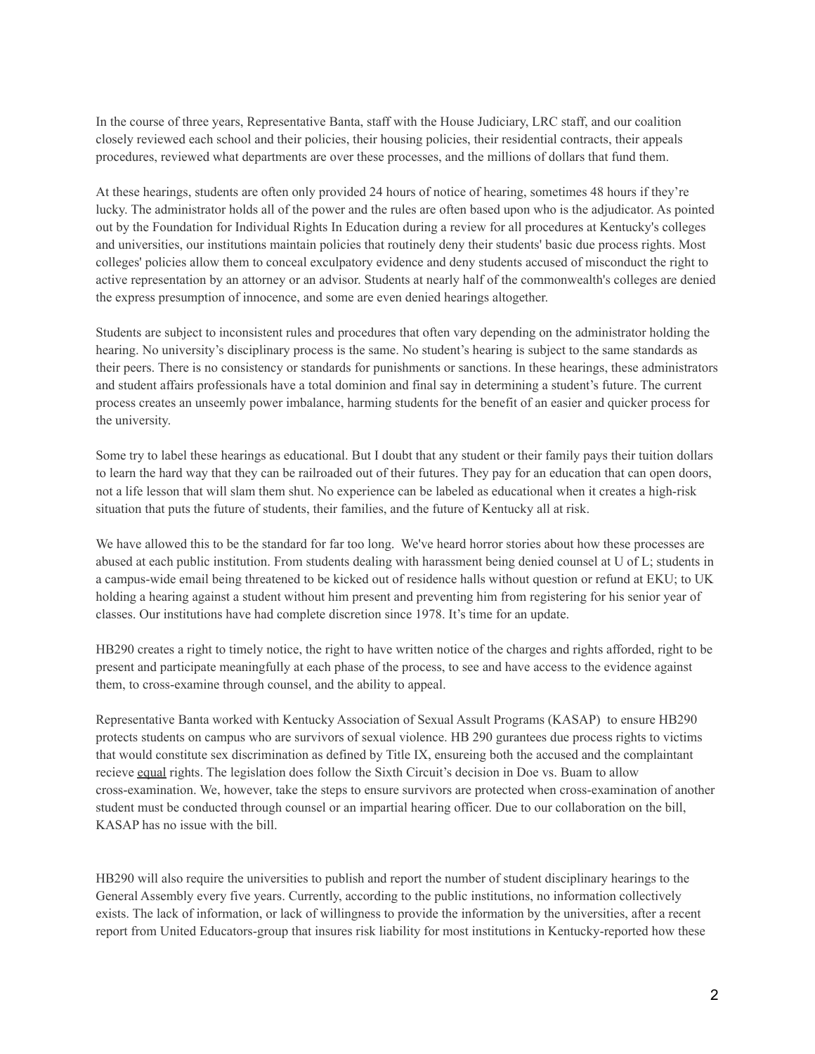In the course of three years, Representative Banta, staff with the House Judiciary, LRC staff, and our coalition closely reviewed each school and their policies, their housing policies, their residential contracts, their appeals procedures, reviewed what departments are over these processes, and the millions of dollars that fund them.

At these hearings, students are often only provided 24 hours of notice of hearing, sometimes 48 hours if they're lucky. The administrator holds all of the power and the rules are often based upon who is the adjudicator. As pointed out by the Foundation for Individual Rights In Education during a review for all procedures at Kentucky's colleges and universities, our institutions maintain policies that routinely deny their students' basic due process rights. Most colleges' policies allow them to conceal exculpatory evidence and deny students accused of misconduct the right to active representation by an attorney or an advisor. Students at nearly half of the commonwealth's colleges are denied the express presumption of innocence, and some are even denied hearings altogether.

Students are subject to inconsistent rules and procedures that often vary depending on the administrator holding the hearing. No university's disciplinary process is the same. No student's hearing is subject to the same standards as their peers. There is no consistency or standards for punishments or sanctions. In these hearings, these administrators and student affairs professionals have a total dominion and final say in determining a student's future. The current process creates an unseemly power imbalance, harming students for the benefit of an easier and quicker process for the university.

Some try to label these hearings as educational. But I doubt that any student or their family pays their tuition dollars to learn the hard way that they can be railroaded out of their futures. They pay for an education that can open doors, not a life lesson that will slam them shut. No experience can be labeled as educational when it creates a high-risk situation that puts the future of students, their families, and the future of Kentucky all at risk.

We have allowed this to be the standard for far too long. We've heard horror stories about how these processes are abused at each public institution. From students dealing with harassment being denied counsel at U of L; students in a campus-wide email being threatened to be kicked out of residence halls without question or refund at EKU; to UK holding a hearing against a student without him present and preventing him from registering for his senior year of classes. Our institutions have had complete discretion since 1978. It's time for an update.

HB290 creates a right to timely notice, the right to have written notice of the charges and rights afforded, right to be present and participate meaningfully at each phase of the process, to see and have access to the evidence against them, to cross-examine through counsel, and the ability to appeal.

Representative Banta worked with Kentucky Association of Sexual Assult Programs (KASAP) to ensure HB290 protects students on campus who are survivors of sexual violence. HB 290 gurantees due process rights to victims that would constitute sex discrimination as defined by Title IX, ensureing both the accused and the complaintant recieve equal rights. The legislation does follow the Sixth Circuit's decision in Doe vs. Buam to allow cross-examination. We, however, take the steps to ensure survivors are protected when cross-examination of another student must be conducted through counsel or an impartial hearing officer. Due to our collaboration on the bill, KASAP has no issue with the bill.

HB290 will also require the universities to publish and report the number of student disciplinary hearings to the General Assembly every five years. Currently, according to the public institutions, no information collectively exists. The lack of information, or lack of willingness to provide the information by the universities, after a recent report from United Educators-group that insures risk liability for most institutions in Kentucky-reported how these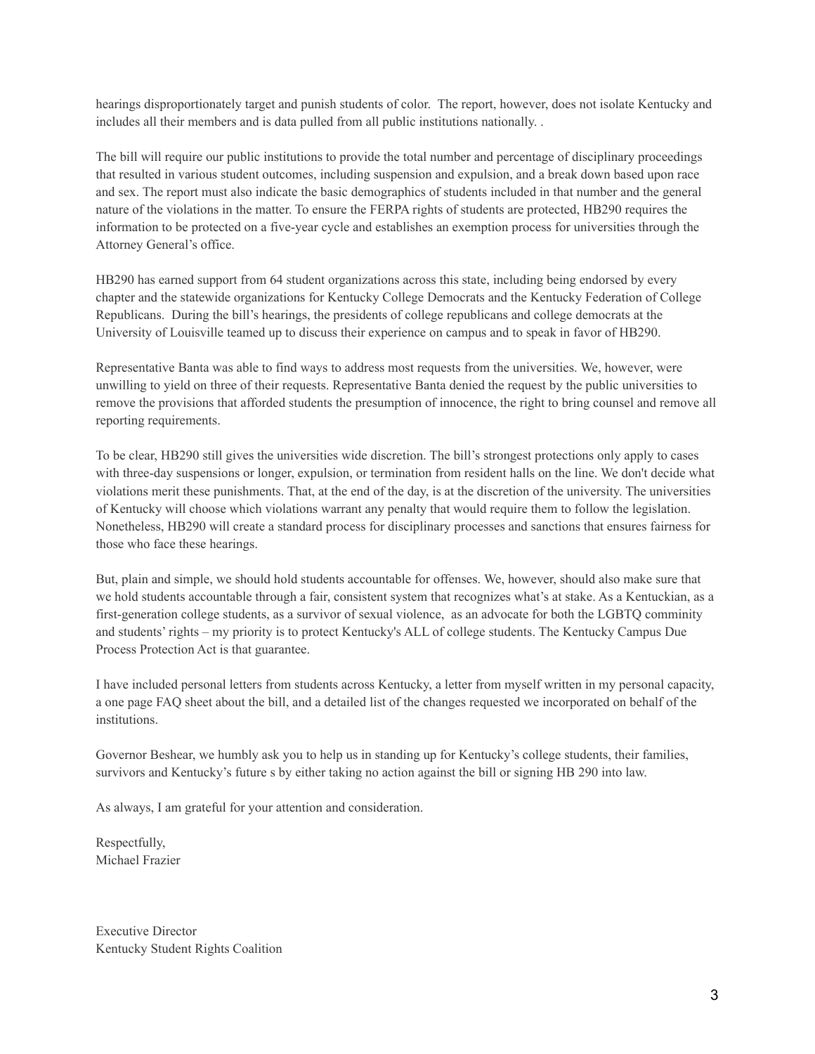hearings disproportionately target and punish students of color. The report, however, does not isolate Kentucky and includes all their members and is data pulled from all public institutions nationally. .

The bill will require our public institutions to provide the total number and percentage of disciplinary proceedings that resulted in various student outcomes, including suspension and expulsion, and a break down based upon race and sex. The report must also indicate the basic demographics of students included in that number and the general nature of the violations in the matter. To ensure the FERPA rights of students are protected, HB290 requires the information to be protected on a five-year cycle and establishes an exemption process for universities through the Attorney General's office.

HB290 has earned support from 64 student organizations across this state, including being endorsed by every chapter and the statewide organizations for Kentucky College Democrats and the Kentucky Federation of College Republicans. During the bill's hearings, the presidents of college republicans and college democrats at the University of Louisville teamed up to discuss their experience on campus and to speak in favor of HB290.

Representative Banta was able to find ways to address most requests from the universities. We, however, were unwilling to yield on three of their requests. Representative Banta denied the request by the public universities to remove the provisions that afforded students the presumption of innocence, the right to bring counsel and remove all reporting requirements.

To be clear, HB290 still gives the universities wide discretion. The bill's strongest protections only apply to cases with three-day suspensions or longer, expulsion, or termination from resident halls on the line. We don't decide what violations merit these punishments. That, at the end of the day, is at the discretion of the university. The universities of Kentucky will choose which violations warrant any penalty that would require them to follow the legislation. Nonetheless, HB290 will create a standard process for disciplinary processes and sanctions that ensures fairness for those who face these hearings.

But, plain and simple, we should hold students accountable for offenses. We, however, should also make sure that we hold students accountable through a fair, consistent system that recognizes what's at stake. As a Kentuckian, as a first-generation college students, as a survivor of sexual violence, as an advocate for both the LGBTQ comminity and students' rights – my priority is to protect Kentucky's ALL of college students. The Kentucky Campus Due Process Protection Act is that guarantee.

I have included personal letters from students across Kentucky, a letter from myself written in my personal capacity, a one page FAQ sheet about the bill, and a detailed list of the changes requested we incorporated on behalf of the institutions.

Governor Beshear, we humbly ask you to help us in standing up for Kentucky's college students, their families, survivors and Kentucky's future s by either taking no action against the bill or signing HB 290 into law.

As always, I am grateful for your attention and consideration.

Respectfully, Michael Frazier

Executive Director Kentucky Student Rights Coalition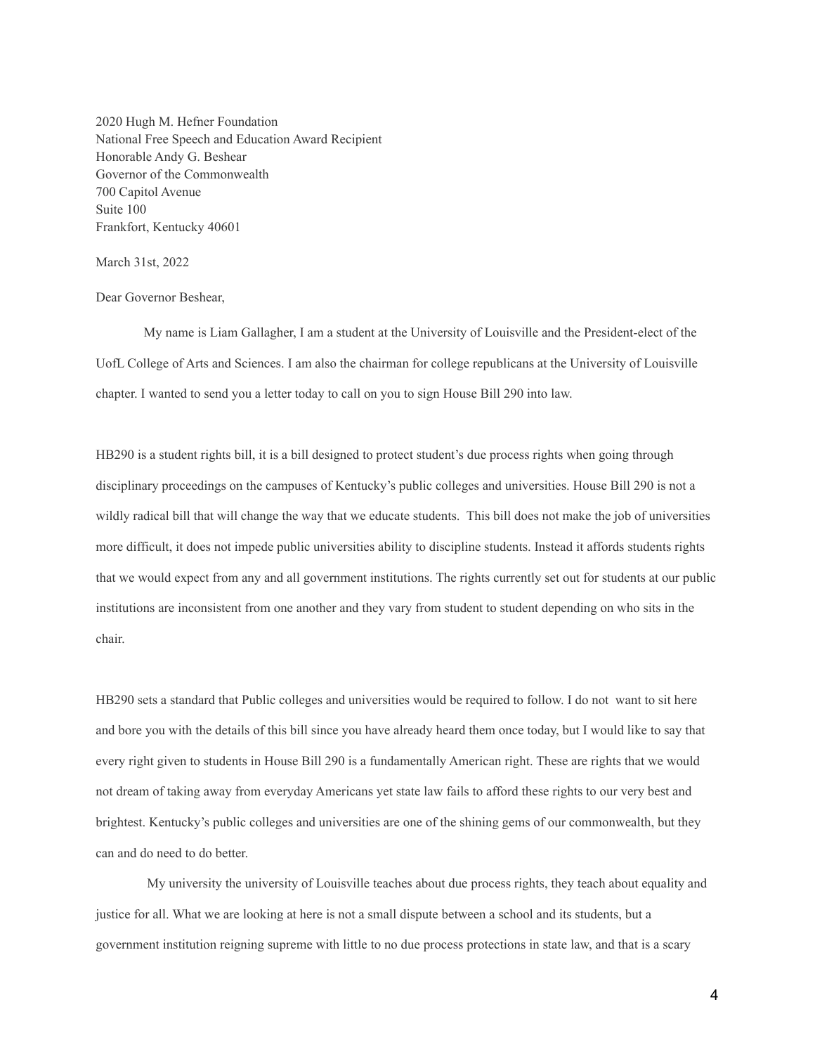2020 Hugh M. Hefner Foundation National Free Speech and Education Award Recipient Honorable Andy G. Beshear Governor of the Commonwealth 700 Capitol Avenue Suite 100 Frankfort, Kentucky 40601

March 31st, 2022

Dear Governor Beshear,

My name is Liam Gallagher, I am a student at the University of Louisville and the President-elect of the UofL College of Arts and Sciences. I am also the chairman for college republicans at the University of Louisville chapter. I wanted to send you a letter today to call on you to sign House Bill 290 into law.

HB290 is a student rights bill, it is a bill designed to protect student's due process rights when going through disciplinary proceedings on the campuses of Kentucky's public colleges and universities. House Bill 290 is not a wildly radical bill that will change the way that we educate students. This bill does not make the job of universities more difficult, it does not impede public universities ability to discipline students. Instead it affords students rights that we would expect from any and all government institutions. The rights currently set out for students at our public institutions are inconsistent from one another and they vary from student to student depending on who sits in the chair.

HB290 sets a standard that Public colleges and universities would be required to follow. I do not want to sit here and bore you with the details of this bill since you have already heard them once today, but I would like to say that every right given to students in House Bill 290 is a fundamentally American right. These are rights that we would not dream of taking away from everyday Americans yet state law fails to afford these rights to our very best and brightest. Kentucky's public colleges and universities are one of the shining gems of our commonwealth, but they can and do need to do better.

My university the university of Louisville teaches about due process rights, they teach about equality and justice for all. What we are looking at here is not a small dispute between a school and its students, but a government institution reigning supreme with little to no due process protections in state law, and that is a scary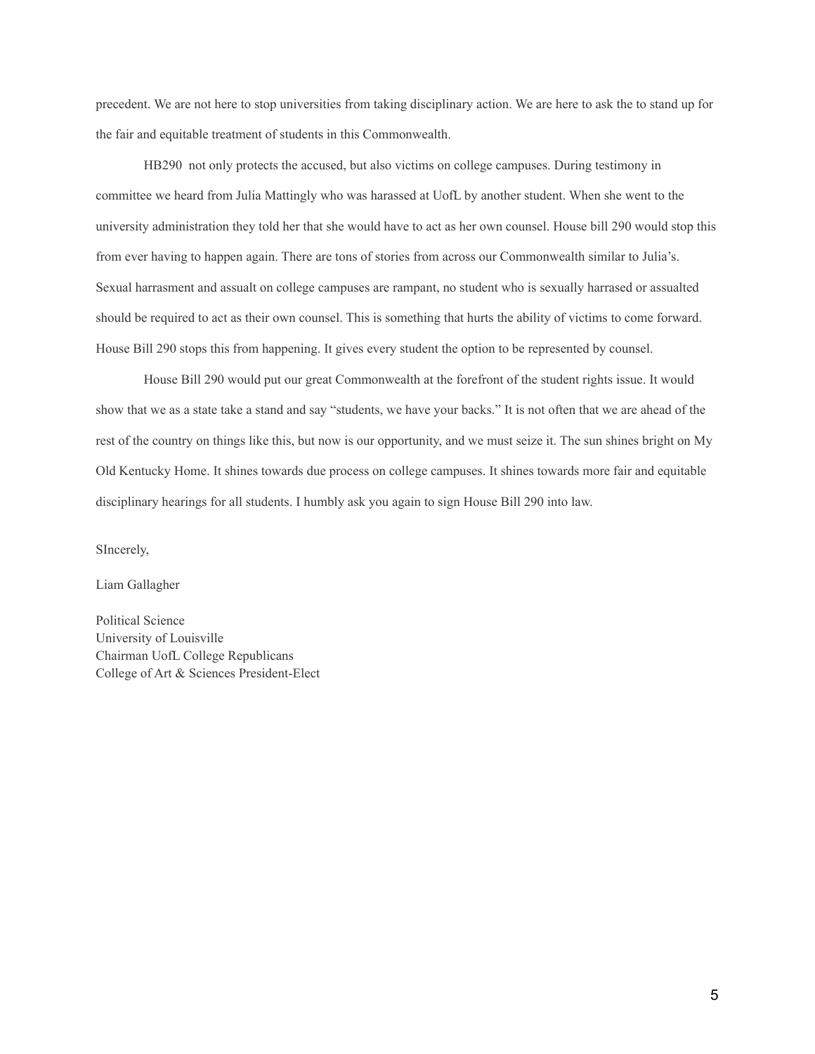precedent. We are not here to stop universities from taking disciplinary action. We are here to ask the to stand up for the fair and equitable treatment of students in this Commonwealth.

HB290 not only protects the accused, but also victims on college campuses. During testimony in committee we heard from Julia Mattingly who was harassed at UofL by another student. When she went to the university administration they told her that she would have to act as her own counsel. House bill 290 would stop this from ever having to happen again. There are tons of stories from across our Commonwealth similar to Julia's. Sexual harrasment and assualt on college campuses are rampant, no student who is sexually harrased or assualted should be required to act as their own counsel. This is something that hurts the ability of victims to come forward. House Bill 290 stops this from happening. It gives every student the option to be represented by counsel.

House Bill 290 would put our great Commonwealth at the forefront of the student rights issue. It would show that we as a state take a stand and say "students, we have your backs." It is not often that we are ahead of the rest of the country on things like this, but now is our opportunity, and we must seize it. The sun shines bright on My Old Kentucky Home. It shines towards due process on college campuses. It shines towards more fair and equitable disciplinary hearings for all students. I humbly ask you again to sign House Bill 290 into law.

SIncerely,

Liam Gallagher

Political Science University of Louisville Chairman UofL College Republicans College of Art & Sciences President-Elect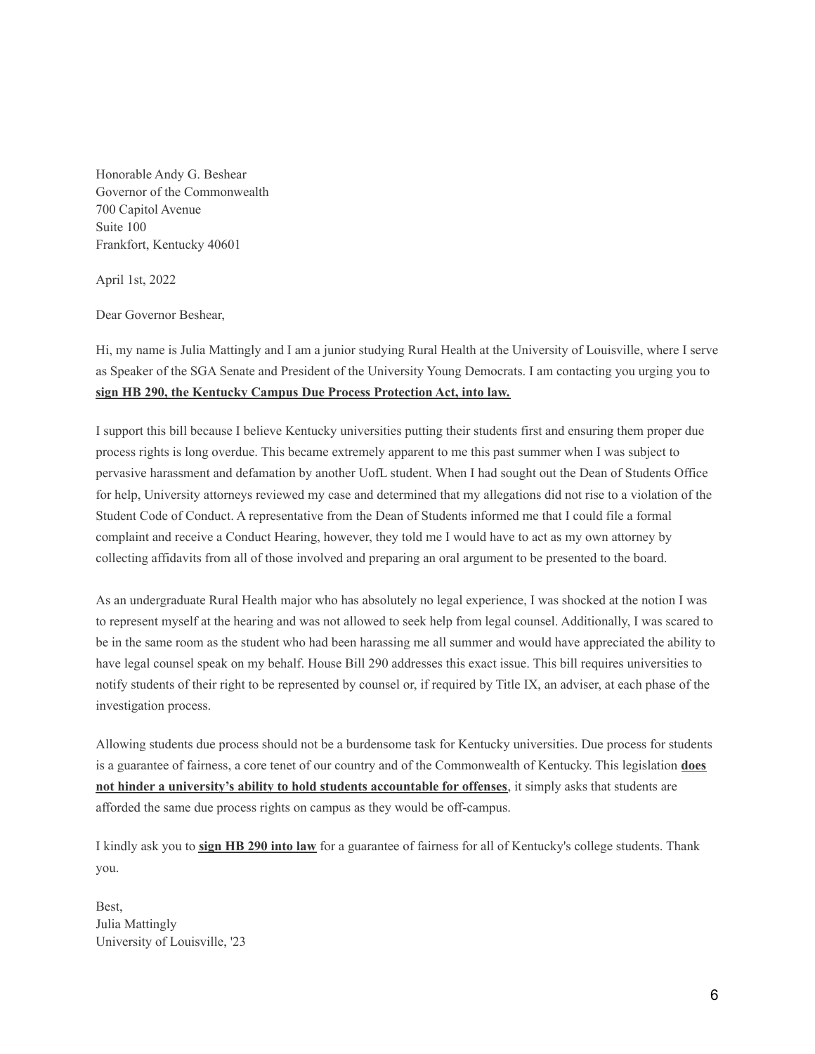Honorable Andy G. Beshear Governor of the Commonwealth 700 Capitol Avenue Suite 100 Frankfort, Kentucky 40601

April 1st, 2022

Dear Governor Beshear,

Hi, my name is Julia Mattingly and I am a junior studying Rural Health at the University of Louisville, where I serve as Speaker of the SGA Senate and President of the University Young Democrats. I am contacting you urging you to **sign HB 290, the Kentucky Campus Due Process Protection Act, into law.**

I support this bill because I believe Kentucky universities putting their students first and ensuring them proper due process rights is long overdue. This became extremely apparent to me this past summer when I was subject to pervasive harassment and defamation by another UofL student. When I had sought out the Dean of Students Office for help, University attorneys reviewed my case and determined that my allegations did not rise to a violation of the Student Code of Conduct. A representative from the Dean of Students informed me that I could file a formal complaint and receive a Conduct Hearing, however, they told me I would have to act as my own attorney by collecting affidavits from all of those involved and preparing an oral argument to be presented to the board.

As an undergraduate Rural Health major who has absolutely no legal experience, I was shocked at the notion I was to represent myself at the hearing and was not allowed to seek help from legal counsel. Additionally, I was scared to be in the same room as the student who had been harassing me all summer and would have appreciated the ability to have legal counsel speak on my behalf. House Bill 290 addresses this exact issue. This bill requires universities to notify students of their right to be represented by counsel or, if required by Title IX, an adviser, at each phase of the investigation process.

Allowing students due process should not be a burdensome task for Kentucky universities. Due process for students is a guarantee of fairness, a core tenet of our country and of the Commonwealth of Kentucky. This legislation **does not hinder a university's ability to hold students accountable for offenses**, it simply asks that students are afforded the same due process rights on campus as they would be off-campus.

I kindly ask you to **sign HB 290 into law** for a guarantee of fairness for all of Kentucky's college students. Thank you.

Best, Julia Mattingly University of Louisville, '23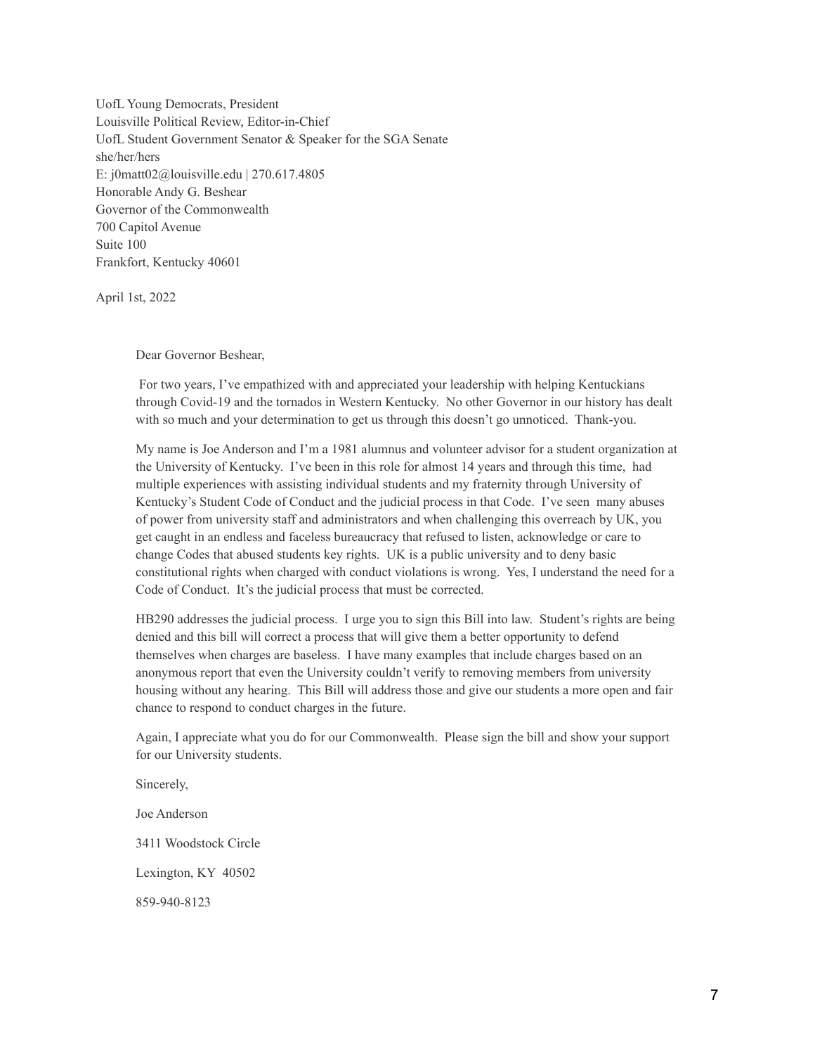UofL Young Democrats, President Louisville Political Review, Editor-in-Chief UofL Student Government Senator & Speaker for the SGA Senate she/her/hers E: j0matt02@louisville.edu | 270.617.4805 Honorable Andy G. Beshear Governor of the Commonwealth 700 Capitol Avenue Suite 100 Frankfort, Kentucky 40601

April 1st, 2022

Dear Governor Beshear,

For two years, I've empathized with and appreciated your leadership with helping Kentuckians through Covid-19 and the tornados in Western Kentucky. No other Governor in our history has dealt with so much and your determination to get us through this doesn't go unnoticed. Thank-you.

My name is Joe Anderson and I'm a 1981 alumnus and volunteer advisor for a student organization at the University of Kentucky. I've been in this role for almost 14 years and through this time, had multiple experiences with assisting individual students and my fraternity through University of Kentucky's Student Code of Conduct and the judicial process in that Code. I've seen many abuses of power from university staff and administrators and when challenging this overreach by UK, you get caught in an endless and faceless bureaucracy that refused to listen, acknowledge or care to change Codes that abused students key rights. UK is a public university and to deny basic constitutional rights when charged with conduct violations is wrong. Yes, I understand the need for a Code of Conduct. It's the judicial process that must be corrected.

HB290 addresses the judicial process. I urge you to sign this Bill into law. Student's rights are being denied and this bill will correct a process that will give them a better opportunity to defend themselves when charges are baseless. I have many examples that include charges based on an anonymous report that even the University couldn't verify to removing members from university housing without any hearing. This Bill will address those and give our students a more open and fair chance to respond to conduct charges in the future.

Again, I appreciate what you do for our Commonwealth. Please sign the bill and show your support for our University students.

Sincerely,

Joe Anderson

3411 Woodstock Circle

Lexington, KY 40502

859-940-8123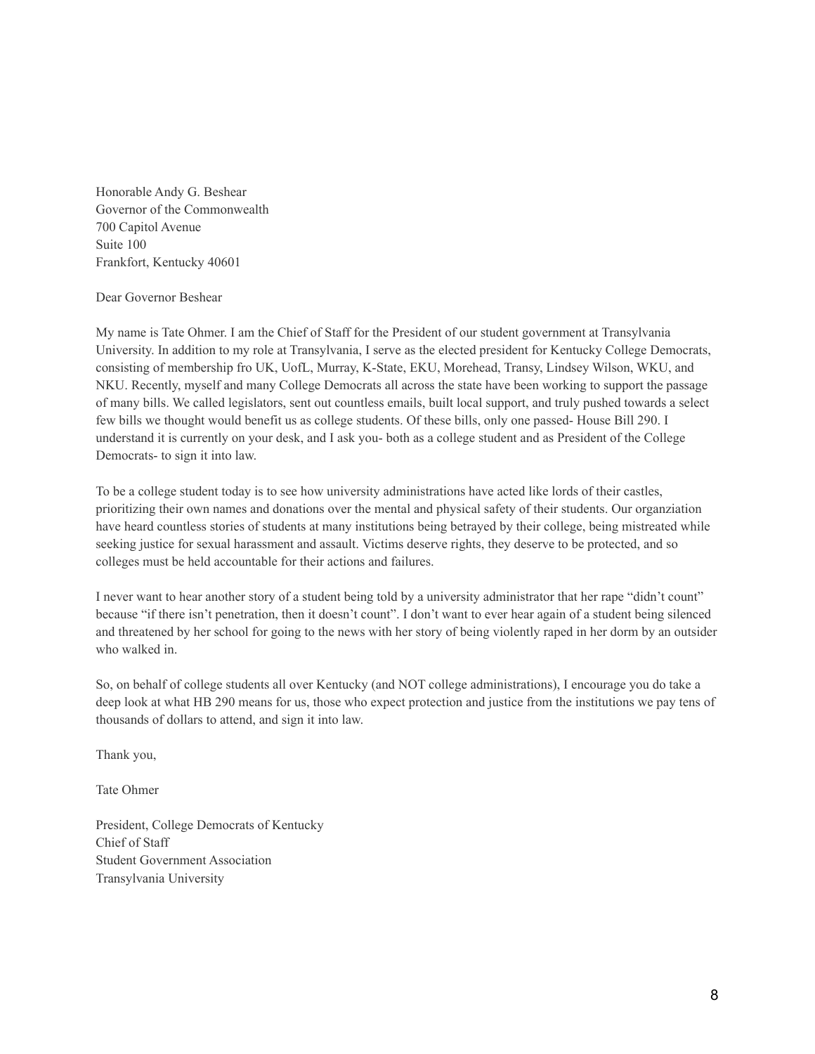Honorable Andy G. Beshear Governor of the Commonwealth 700 Capitol Avenue Suite 100 Frankfort, Kentucky 40601

## Dear Governor Beshear

My name is Tate Ohmer. I am the Chief of Staff for the President of our student government at Transylvania University. In addition to my role at Transylvania, I serve as the elected president for Kentucky College Democrats, consisting of membership fro UK, UofL, Murray, K-State, EKU, Morehead, Transy, Lindsey Wilson, WKU, and NKU. Recently, myself and many College Democrats all across the state have been working to support the passage of many bills. We called legislators, sent out countless emails, built local support, and truly pushed towards a select few bills we thought would benefit us as college students. Of these bills, only one passed- House Bill 290. I understand it is currently on your desk, and I ask you- both as a college student and as President of the College Democrats- to sign it into law.

To be a college student today is to see how university administrations have acted like lords of their castles, prioritizing their own names and donations over the mental and physical safety of their students. Our organziation have heard countless stories of students at many institutions being betrayed by their college, being mistreated while seeking justice for sexual harassment and assault. Victims deserve rights, they deserve to be protected, and so colleges must be held accountable for their actions and failures.

I never want to hear another story of a student being told by a university administrator that her rape "didn't count" because "if there isn't penetration, then it doesn't count". I don't want to ever hear again of a student being silenced and threatened by her school for going to the news with her story of being violently raped in her dorm by an outsider who walked in.

So, on behalf of college students all over Kentucky (and NOT college administrations), I encourage you do take a deep look at what HB 290 means for us, those who expect protection and justice from the institutions we pay tens of thousands of dollars to attend, and sign it into law.

Thank you,

Tate Ohmer

President, College Democrats of Kentucky Chief of Staff Student Government Association Transylvania University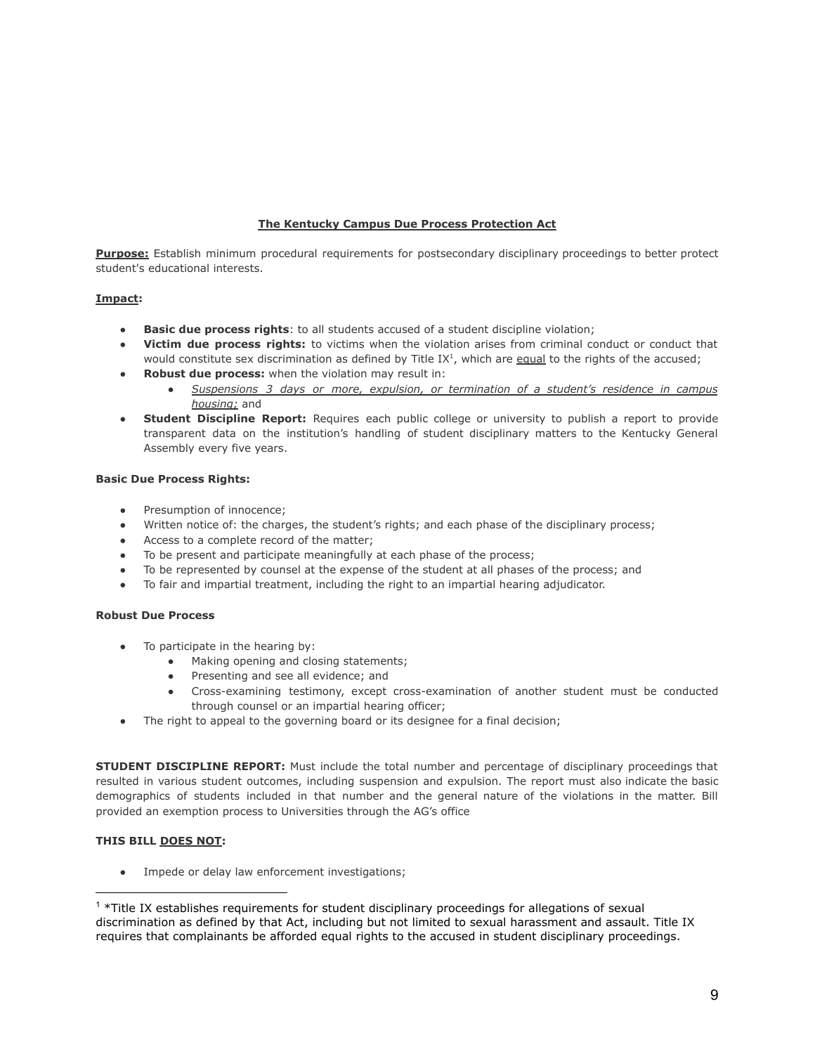# **The Kentucky Campus Due Process Protection Act**

**Purpose:** Establish minimum procedural requirements for postsecondary disciplinary proceedings to better protect student's educational interests.

## **Impact:**

- **Basic due process rights**: to all students accused of a student discipline violation;
- **Victim due process rights:** to victims when the violation arises from criminal conduct or conduct that would constitute sex discrimination as defined by Title IX<sup>1</sup>, which are equal to the rights of the accused;
- **Robust due process:** when the violation may result in:
	- *Suspensions 3 days or more, expulsion, or termination of a student's residence in campus housing;* and
- **Student Discipline Report:** Requires each public college or university to publish a report to provide transparent data on the institution's handling of student disciplinary matters to the Kentucky General Assembly every five years.

#### **Basic Due Process Rights:**

- Presumption of innocence:
- Written notice of: the charges, the student's rights; and each phase of the disciplinary process;
- Access to a complete record of the matter;
- To be present and participate meaningfully at each phase of the process;
- To be represented by counsel at the expense of the student at all phases of the process; and
- To fair and impartial treatment, including the right to an impartial hearing adjudicator.

#### **Robust Due Process**

- To participate in the hearing by:
	- Making opening and closing statements;
	- Presenting and see all evidence; and
	- Cross-examining testimony, except cross-examination of another student must be conducted through counsel or an impartial hearing officer;
- The right to appeal to the governing board or its designee for a final decision;

**STUDENT DISCIPLINE REPORT:** Must include the total number and percentage of disciplinary proceedings that resulted in various student outcomes, including suspension and expulsion. The report must also indicate the basic demographics of students included in that number and the general nature of the violations in the matter. Bill provided an exemption process to Universities through the AG's office

### **THIS BILL DOES NOT:**

Impede or delay law enforcement investigations;

 $1 *$ Title IX establishes requirements for student disciplinary proceedings for allegations of sexual discrimination as defined by that Act, including but not limited to sexual harassment and assault. Title IX requires that complainants be afforded equal rights to the accused in student disciplinary proceedings.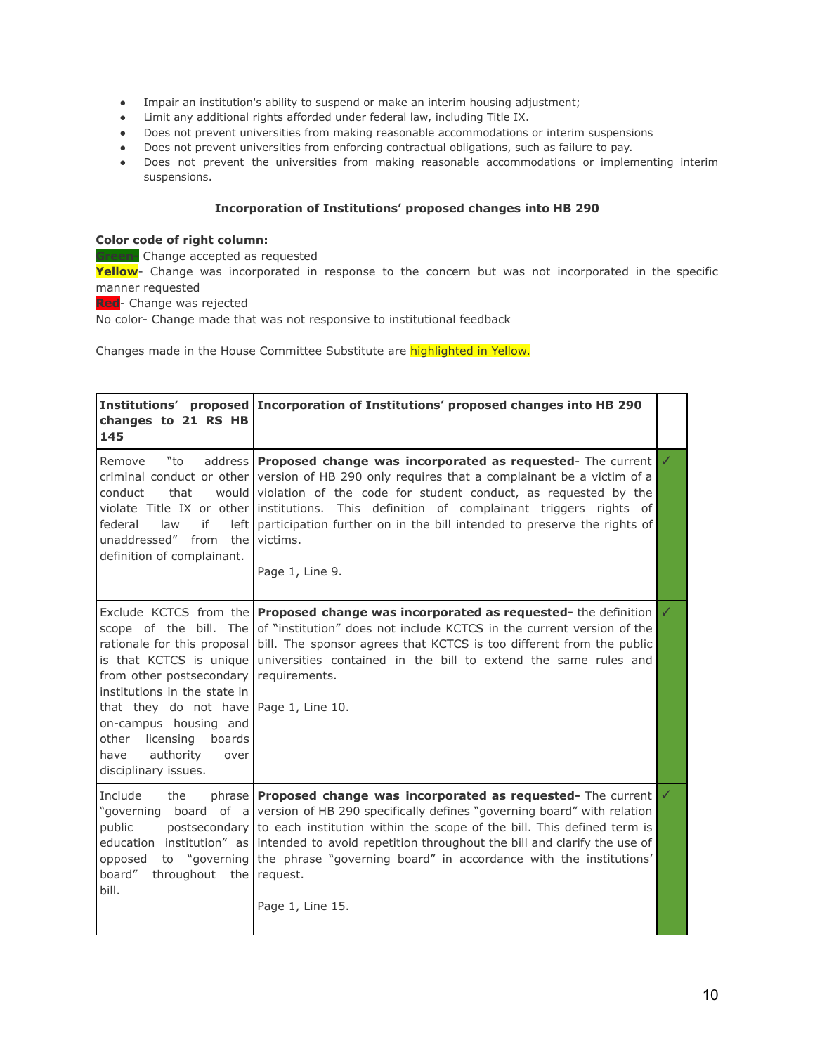- Impair an institution's ability to suspend or make an interim housing adjustment;
- Limit any additional rights afforded under federal law, including Title IX.
- Does not prevent universities from making reasonable accommodations or interim suspensions
- Does not prevent universities from enforcing contractual obligations, such as failure to pay.
- Does not prevent the universities from making reasonable accommodations or implementing interim suspensions.

### **Incorporation of Institutions' proposed changes into HB 290**

## **Color code of right column:**

**Green-** Change accepted as requested

Yellow- Change was incorporated in response to the concern but was not incorporated in the specific manner requested

**Red**- Change was rejected

No color- Change made that was not responsive to institutional feedback

Changes made in the House Committee Substitute are highlighted in Yellow.

| changes to 21 RS HB<br>145                                                                                                                                                                                                                                                                                                  | Institutions' proposed Incorporation of Institutions' proposed changes into HB 290                                                                                                                                                                                                                                                                                                                                                                                         |   |
|-----------------------------------------------------------------------------------------------------------------------------------------------------------------------------------------------------------------------------------------------------------------------------------------------------------------------------|----------------------------------------------------------------------------------------------------------------------------------------------------------------------------------------------------------------------------------------------------------------------------------------------------------------------------------------------------------------------------------------------------------------------------------------------------------------------------|---|
| Remove<br>"to<br>conduct<br>that<br>if<br>left I<br>federal<br>law<br>unaddressed"<br>from the<br>definition of complainant.                                                                                                                                                                                                | address <b>Proposed change was incorporated as requested</b> - The current<br>criminal conduct or other version of HB 290 only requires that a complainant be a victim of a<br>would violation of the code for student conduct, as requested by the<br>violate Title IX or other institutions. This definition of complainant triggers rights of<br>participation further on in the bill intended to preserve the rights of<br>victims.<br>Page 1, Line 9.                 |   |
| Exclude KCTCS from the<br>scope of the bill. The<br>rationale for this proposal<br>is that KCTCS is unique<br>from other postsecondary<br>institutions in the state in<br>that they do not have Page 1, Line 10.<br>on-campus housing and<br>other licensing<br>boards<br>authority<br>have<br>over<br>disciplinary issues. | Proposed change was incorporated as requested- the definition<br>of "institution" does not include KCTCS in the current version of the<br>bill. The sponsor agrees that KCTCS is too different from the public<br>universities contained in the bill to extend the same rules and<br>requirements.                                                                                                                                                                         | ✓ |
| Include<br>the<br>"governing<br>public<br>opposed<br>board"<br>throughout<br>bill.                                                                                                                                                                                                                                          | phrase Proposed change was incorporated as requested- The current<br>board of a version of HB 290 specifically defines "governing board" with relation<br>postsecondary to each institution within the scope of the bill. This defined term is<br>education institution" as intended to avoid repetition throughout the bill and clarify the use of<br>to "governing the phrase "governing board" in accordance with the institutions'<br>the request.<br>Page 1, Line 15. |   |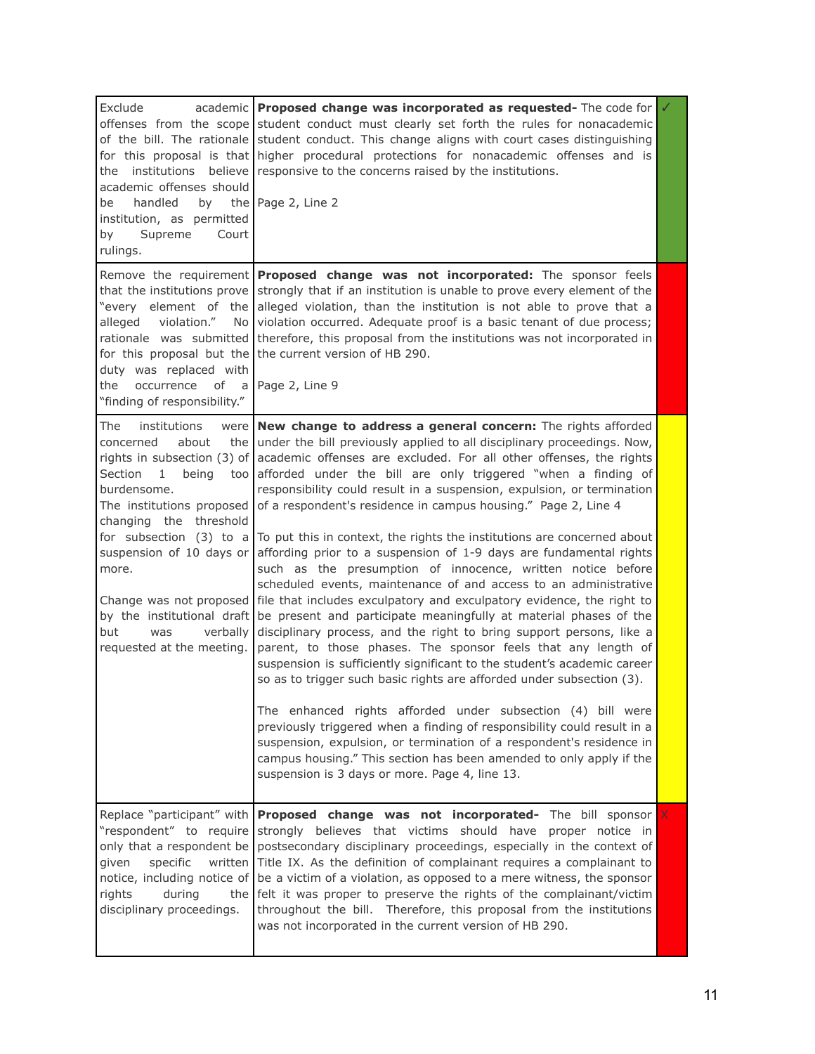| Exclude<br>offenses from the scope<br>of the bill. The rationale<br>for this proposal is that<br>institutions<br>believe<br>the<br>academic offenses should<br>handled<br>by<br>be<br>institution, as permitted<br>Supreme<br>by<br>Court<br>rulings.                                                                                                                                         | academic Proposed change was incorporated as requested- The code for $\sqrt{\sqrt{}}$<br>student conduct must clearly set forth the rules for nonacademic<br>student conduct. This change aligns with court cases distinguishing<br>higher procedural protections for nonacademic offenses and is<br>responsive to the concerns raised by the institutions.<br>the Page 2, Line 2                                                                                                                                                                                                                                                                                                                                                                                                                                                                                                                                                                                                                                                                                                                                                                                                                                                                                                                                                                                                                                                                                                                    |  |
|-----------------------------------------------------------------------------------------------------------------------------------------------------------------------------------------------------------------------------------------------------------------------------------------------------------------------------------------------------------------------------------------------|------------------------------------------------------------------------------------------------------------------------------------------------------------------------------------------------------------------------------------------------------------------------------------------------------------------------------------------------------------------------------------------------------------------------------------------------------------------------------------------------------------------------------------------------------------------------------------------------------------------------------------------------------------------------------------------------------------------------------------------------------------------------------------------------------------------------------------------------------------------------------------------------------------------------------------------------------------------------------------------------------------------------------------------------------------------------------------------------------------------------------------------------------------------------------------------------------------------------------------------------------------------------------------------------------------------------------------------------------------------------------------------------------------------------------------------------------------------------------------------------------|--|
| that the institutions prove<br>"every element of the<br>violation."<br>alleged<br>No<br>rationale was submitted<br>for this proposal but the<br>duty was replaced with<br>occurrence<br>of<br>the<br>a<br>"finding of responsibility."                                                                                                                                                        | Remove the requirement <b>Proposed change was not incorporated:</b> The sponsor feels<br>strongly that if an institution is unable to prove every element of the<br>alleged violation, than the institution is not able to prove that a<br>violation occurred. Adequate proof is a basic tenant of due process;<br>therefore, this proposal from the institutions was not incorporated in<br>the current version of HB 290.<br>Page 2, Line 9                                                                                                                                                                                                                                                                                                                                                                                                                                                                                                                                                                                                                                                                                                                                                                                                                                                                                                                                                                                                                                                        |  |
| institutions<br>The<br>were  <br>concerned<br>about<br>the<br>rights in subsection (3) of<br>Section<br>$\mathbf{1}$<br>being<br>too<br>burdensome.<br>The institutions proposed<br>changing the<br>threshold<br>for subsection (3) to a<br>suspension of 10 days or<br>more.<br>Change was not proposed<br>by the institutional draft<br>but<br>verbally<br>was<br>requested at the meeting. | New change to address a general concern: The rights afforded<br>under the bill previously applied to all disciplinary proceedings. Now,<br>academic offenses are excluded. For all other offenses, the rights<br>afforded under the bill are only triggered "when a finding of<br>responsibility could result in a suspension, expulsion, or termination<br>of a respondent's residence in campus housing." Page 2, Line 4<br>To put this in context, the rights the institutions are concerned about<br>affording prior to a suspension of 1-9 days are fundamental rights<br>such as the presumption of innocence, written notice before<br>scheduled events, maintenance of and access to an administrative<br>file that includes exculpatory and exculpatory evidence, the right to<br>be present and participate meaningfully at material phases of the<br>disciplinary process, and the right to bring support persons, like a<br>parent, to those phases. The sponsor feels that any length of<br>suspension is sufficiently significant to the student's academic career<br>so as to trigger such basic rights are afforded under subsection (3).<br>The enhanced rights afforded under subsection (4) bill were<br>previously triggered when a finding of responsibility could result in a<br>suspension, expulsion, or termination of a respondent's residence in<br>campus housing." This section has been amended to only apply if the<br>suspension is 3 days or more. Page 4, line 13. |  |
| "respondent" to require<br>only that a respondent be<br>given<br>specific<br>written<br>notice, including notice of<br>rights<br>during<br>the I<br>disciplinary proceedings.                                                                                                                                                                                                                 | Replace "participant" with <b>Proposed change was not incorporated-</b> The bill sponsor $ X $<br>strongly believes that victims should have proper notice in<br>postsecondary disciplinary proceedings, especially in the context of<br>Title IX. As the definition of complainant requires a complainant to<br>be a victim of a violation, as opposed to a mere witness, the sponsor<br>felt it was proper to preserve the rights of the complainant/victim<br>throughout the bill. Therefore, this proposal from the institutions<br>was not incorporated in the current version of HB 290.                                                                                                                                                                                                                                                                                                                                                                                                                                                                                                                                                                                                                                                                                                                                                                                                                                                                                                       |  |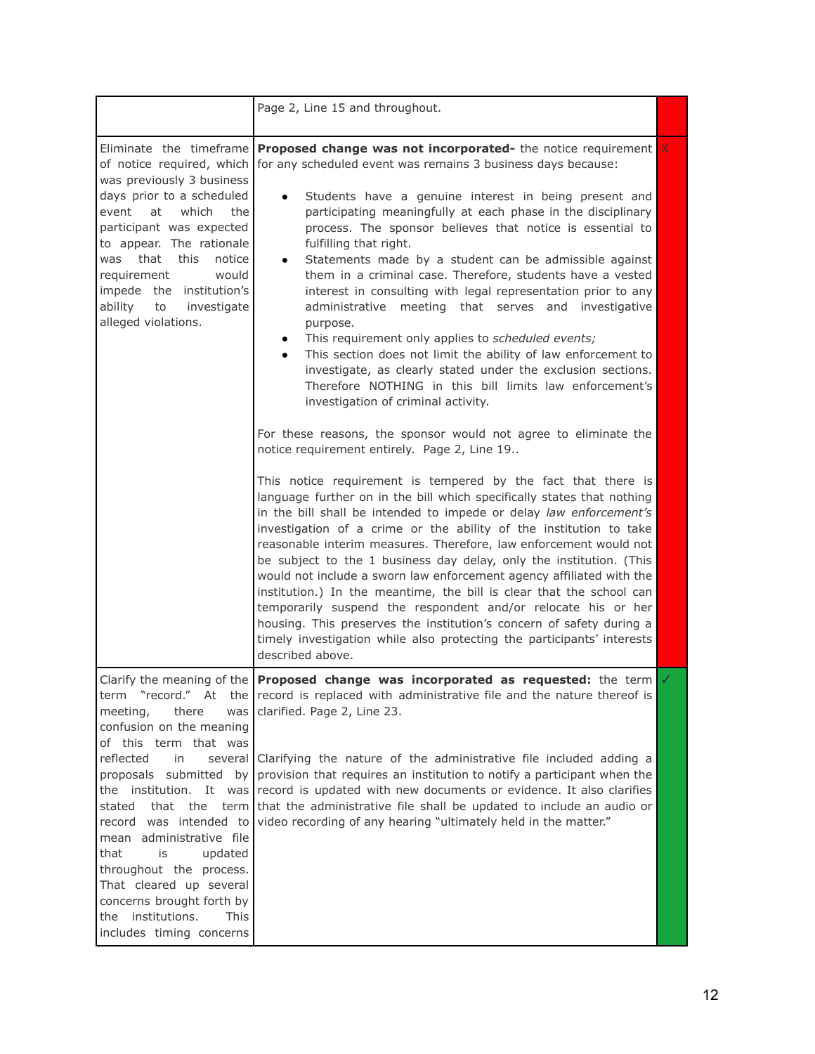|                                                                                                                                                                                                                                                                                                                                                                                                                     | Page 2, Line 15 and throughout.                                                                                                                                                                                                                                                                                                                                                                                                                                                                                                                                                                                                                                                                                                                                                                                                                                                                                                                                                                                                                                                                                                                                                                                                                                                                                                                                                                                                                                                                                                                                                                                                                                                                                                                                                                                                                                                     |  |
|---------------------------------------------------------------------------------------------------------------------------------------------------------------------------------------------------------------------------------------------------------------------------------------------------------------------------------------------------------------------------------------------------------------------|-------------------------------------------------------------------------------------------------------------------------------------------------------------------------------------------------------------------------------------------------------------------------------------------------------------------------------------------------------------------------------------------------------------------------------------------------------------------------------------------------------------------------------------------------------------------------------------------------------------------------------------------------------------------------------------------------------------------------------------------------------------------------------------------------------------------------------------------------------------------------------------------------------------------------------------------------------------------------------------------------------------------------------------------------------------------------------------------------------------------------------------------------------------------------------------------------------------------------------------------------------------------------------------------------------------------------------------------------------------------------------------------------------------------------------------------------------------------------------------------------------------------------------------------------------------------------------------------------------------------------------------------------------------------------------------------------------------------------------------------------------------------------------------------------------------------------------------------------------------------------------------|--|
| Eliminate the timeframe<br>of notice required, which<br>was previously 3 business<br>days prior to a scheduled<br>event<br>which<br>the<br>at<br>participant was expected<br>to appear. The rationale<br>that<br>this<br>notice<br>was<br>requirement<br>would<br>impede the institution's<br>ability<br>investigate<br>to<br>alleged violations.                                                                   | <b>Proposed change was not incorporated-</b> the notice requirement $\mathbf{\chi}$<br>for any scheduled event was remains 3 business days because:<br>Students have a genuine interest in being present and<br>participating meaningfully at each phase in the disciplinary<br>process. The sponsor believes that notice is essential to<br>fulfilling that right.<br>Statements made by a student can be admissible against<br>them in a criminal case. Therefore, students have a vested<br>interest in consulting with legal representation prior to any<br>administrative meeting that serves and investigative<br>purpose.<br>This requirement only applies to scheduled events;<br>$\bullet$<br>This section does not limit the ability of law enforcement to<br>investigate, as clearly stated under the exclusion sections.<br>Therefore NOTHING in this bill limits law enforcement's<br>investigation of criminal activity.<br>For these reasons, the sponsor would not agree to eliminate the<br>notice requirement entirely. Page 2, Line 19<br>This notice requirement is tempered by the fact that there is<br>language further on in the bill which specifically states that nothing<br>in the bill shall be intended to impede or delay law enforcement's<br>investigation of a crime or the ability of the institution to take<br>reasonable interim measures. Therefore, law enforcement would not<br>be subject to the 1 business day delay, only the institution. (This<br>would not include a sworn law enforcement agency affiliated with the<br>institution.) In the meantime, the bill is clear that the school can<br>temporarily suspend the respondent and/or relocate his or her<br>housing. This preserves the institution's concern of safety during a<br>timely investigation while also protecting the participants' interests<br>described above. |  |
| there<br>meeting,<br>was  <br>confusion on the meaning<br>of this term that was<br>reflected<br>in<br>proposals submitted by<br>the institution. It was<br>that the<br>stated<br>term<br>record was intended to<br>mean administrative file<br>that<br>is<br>updated<br>throughout the process.<br>That cleared up several<br>concerns brought forth by<br>institutions.<br>the<br>This<br>includes timing concerns | Clarify the meaning of the <b>Proposed change was incorporated as requested:</b> the term<br>term "record." At the record is replaced with administrative file and the nature thereof is<br>clarified. Page 2, Line 23.<br>several Clarifying the nature of the administrative file included adding a<br>provision that requires an institution to notify a participant when the<br>record is updated with new documents or evidence. It also clarifies<br>that the administrative file shall be updated to include an audio or<br>video recording of any hearing "ultimately held in the matter."                                                                                                                                                                                                                                                                                                                                                                                                                                                                                                                                                                                                                                                                                                                                                                                                                                                                                                                                                                                                                                                                                                                                                                                                                                                                                  |  |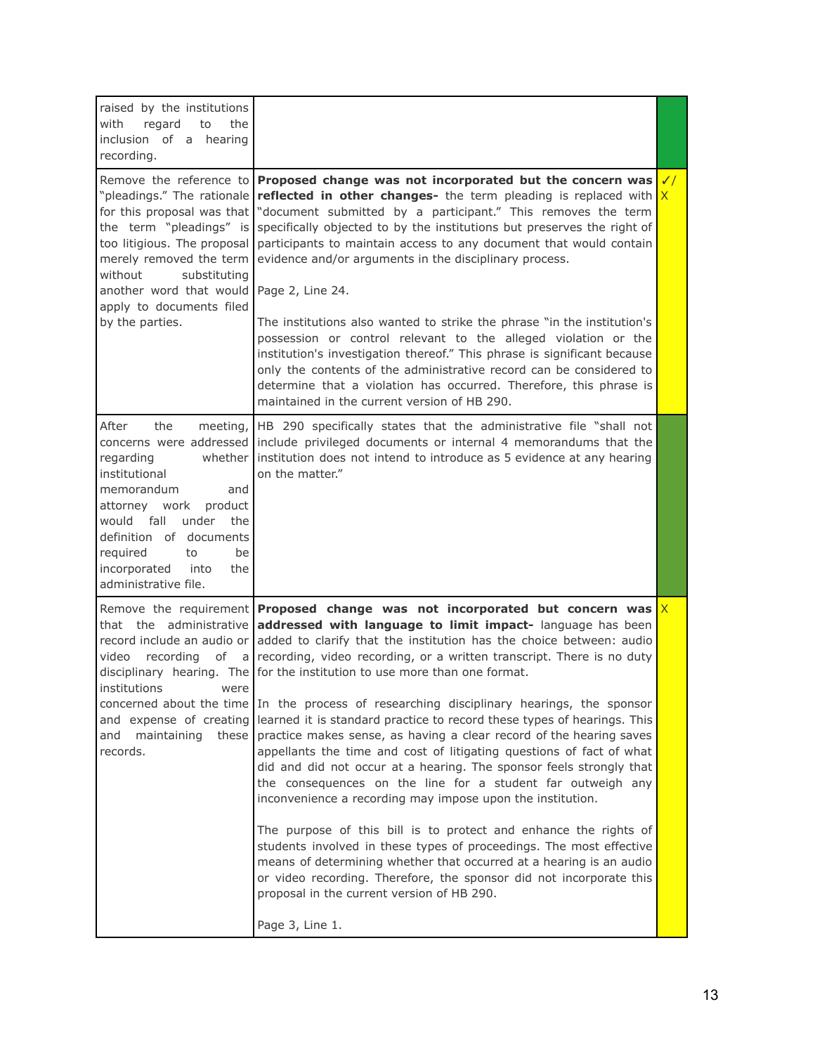| raised by the institutions<br>with<br>regard<br>to<br>the<br>inclusion of a hearing<br>recording.                                                                                                                                                                             |                                                                                                                                                                                                                                                                                                                                                                                                                                                                                                                                                                                                                                                                                                                                                                                                                                                                                                                                                                                                                                                                                                                                                                                                                                                                                                  |              |
|-------------------------------------------------------------------------------------------------------------------------------------------------------------------------------------------------------------------------------------------------------------------------------|--------------------------------------------------------------------------------------------------------------------------------------------------------------------------------------------------------------------------------------------------------------------------------------------------------------------------------------------------------------------------------------------------------------------------------------------------------------------------------------------------------------------------------------------------------------------------------------------------------------------------------------------------------------------------------------------------------------------------------------------------------------------------------------------------------------------------------------------------------------------------------------------------------------------------------------------------------------------------------------------------------------------------------------------------------------------------------------------------------------------------------------------------------------------------------------------------------------------------------------------------------------------------------------------------|--------------|
| Remove the reference to<br>"pleadings." The rationale<br>for this proposal was that<br>the term "pleadings" is<br>too litigious. The proposal<br>merely removed the term<br>without<br>substituting<br>another word that would<br>apply to documents filed<br>by the parties. | Proposed change was not incorporated but the concern was<br><b>reflected in other changes-</b> the term pleading is replaced with $X$<br>"document submitted by a participant." This removes the term<br>specifically objected to by the institutions but preserves the right of<br>participants to maintain access to any document that would contain<br>evidence and/or arguments in the disciplinary process.<br>Page 2, Line 24.<br>The institutions also wanted to strike the phrase "in the institution's<br>possession or control relevant to the alleged violation or the<br>institution's investigation thereof." This phrase is significant because<br>only the contents of the administrative record can be considered to<br>determine that a violation has occurred. Therefore, this phrase is<br>maintained in the current version of HB 290.                                                                                                                                                                                                                                                                                                                                                                                                                                       | $\checkmark$ |
| After<br>the<br>regarding<br>whether I<br>institutional<br>memorandum<br>and<br>attorney work<br>product<br>would fall<br>under the<br>definition of documents<br>required<br>to<br>be<br>incorporated<br>into<br>the<br>administrative file.                                 | meeting, HB 290 specifically states that the administrative file "shall not<br>concerns were addressed include privileged documents or internal 4 memorandums that the<br>institution does not intend to introduce as 5 evidence at any hearing<br>on the matter."                                                                                                                                                                                                                                                                                                                                                                                                                                                                                                                                                                                                                                                                                                                                                                                                                                                                                                                                                                                                                               |              |
| record include an audio or<br>video<br>recording<br>institutions were<br>and expense of creating<br>maintaining<br>these  <br>and<br>records.                                                                                                                                 | Remove the requirement Proposed change was not incorporated but concern was<br>that the administrative addressed with language to limit impact- language has been<br>added to clarify that the institution has the choice between: audio<br>of a recording, video recording, or a written transcript. There is no duty<br>disciplinary hearing. The $\int$ for the institution to use more than one format.<br>concerned about the time In the process of researching disciplinary hearings, the sponsor<br>learned it is standard practice to record these types of hearings. This<br>practice makes sense, as having a clear record of the hearing saves<br>appellants the time and cost of litigating questions of fact of what<br>did and did not occur at a hearing. The sponsor feels strongly that<br>the consequences on the line for a student far outweigh any<br>inconvenience a recording may impose upon the institution.<br>The purpose of this bill is to protect and enhance the rights of<br>students involved in these types of proceedings. The most effective<br>means of determining whether that occurred at a hearing is an audio<br>or video recording. Therefore, the sponsor did not incorporate this<br>proposal in the current version of HB 290.<br>Page 3, Line 1. | $\mathsf{X}$ |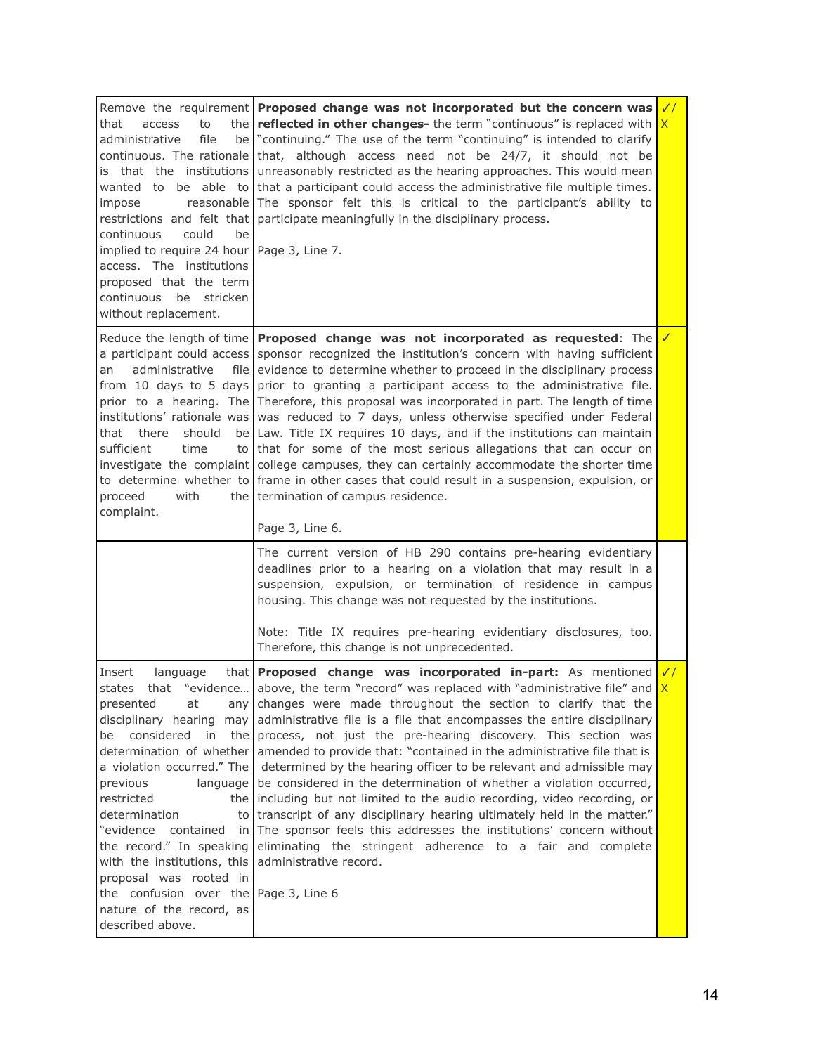| to<br>that<br>access<br>administrative<br>file<br>be l<br>continuous. The rationale<br>is that the institutions<br>reasonable<br>impose<br>restrictions and felt that<br>continuous<br>could<br>be<br>implied to require 24 hour   Page 3, Line 7.<br>access. The institutions<br>proposed that the term<br>continuous be stricken<br>without replacement.                                                                  | Remove the requirement <b>Proposed change was not incorporated but the concern was</b><br>the <b>reflected in other changes-</b> the term "continuous" is replaced with $\vert$<br>"continuing." The use of the term "continuing" is intended to clarify<br>that, although access need not be 24/7, it should not be<br>unreasonably restricted as the hearing approaches. This would mean<br>wanted to be able to that a participant could access the administrative file multiple times.<br>The sponsor felt this is critical to the participant's ability to<br>participate meaningfully in the disciplinary process.                                                                                                                                                                                                                                                                                                                                                                     | $\checkmark$<br>X |
|-----------------------------------------------------------------------------------------------------------------------------------------------------------------------------------------------------------------------------------------------------------------------------------------------------------------------------------------------------------------------------------------------------------------------------|----------------------------------------------------------------------------------------------------------------------------------------------------------------------------------------------------------------------------------------------------------------------------------------------------------------------------------------------------------------------------------------------------------------------------------------------------------------------------------------------------------------------------------------------------------------------------------------------------------------------------------------------------------------------------------------------------------------------------------------------------------------------------------------------------------------------------------------------------------------------------------------------------------------------------------------------------------------------------------------------|-------------------|
| administrative<br>an<br>there<br>should<br>that<br>sufficient<br>time<br>proceed<br>with<br>complaint.                                                                                                                                                                                                                                                                                                                      | Reduce the length of time <b>Proposed change was not incorporated as requested</b> : The $\sqrt{\ }$<br>a participant could access sponsor recognized the institution's concern with having sufficient<br>file evidence to determine whether to proceed in the disciplinary process<br>from 10 days to 5 days prior to granting a participant access to the administrative file.<br>prior to a hearing. The Therefore, this proposal was incorporated in part. The length of time<br>institutions' rationale was was reduced to 7 days, unless otherwise specified under Federal<br>be Law. Title IX requires 10 days, and if the institutions can maintain<br>to that for some of the most serious allegations that can occur on<br>investigate the complaint college campuses, they can certainly accommodate the shorter time<br>to determine whether to frame in other cases that could result in a suspension, expulsion, or<br>the termination of campus residence.<br>Page 3, Line 6. |                   |
|                                                                                                                                                                                                                                                                                                                                                                                                                             | The current version of HB 290 contains pre-hearing evidentiary<br>deadlines prior to a hearing on a violation that may result in a<br>suspension, expulsion, or termination of residence in campus<br>housing. This change was not requested by the institutions.<br>Note: Title IX requires pre-hearing evidentiary disclosures, too.<br>Therefore, this change is not unprecedented.                                                                                                                                                                                                                                                                                                                                                                                                                                                                                                                                                                                                       |                   |
| language<br>Insert<br>presented<br>at<br>any  <br>disciplinary hearing may<br>considered in<br>the l<br>be<br>determination of whether<br>previous<br>language<br>restricted<br>the I<br>determination<br>to I<br>"evidence contained<br>in l<br>the record." In speaking<br>with the institutions, this<br>proposal was rooted in<br>the confusion over the Page 3, Line 6<br>nature of the record, as<br>described above. | that <b>Proposed</b> change was incorporated in-part: As mentioned<br>states that "evidence above, the term "record" was replaced with "administrative file" and<br>changes were made throughout the section to clarify that the<br>administrative file is a file that encompasses the entire disciplinary<br>process, not just the pre-hearing discovery. This section was<br>amended to provide that: "contained in the administrative file that is<br>a violation occurred." The   determined by the hearing officer to be relevant and admissible may<br>be considered in the determination of whether a violation occurred,<br>including but not limited to the audio recording, video recording, or<br>transcript of any disciplinary hearing ultimately held in the matter."<br>The sponsor feels this addresses the institutions' concern without<br>eliminating the stringent adherence to a fair and complete<br>administrative record.                                            | $\sqrt{}$         |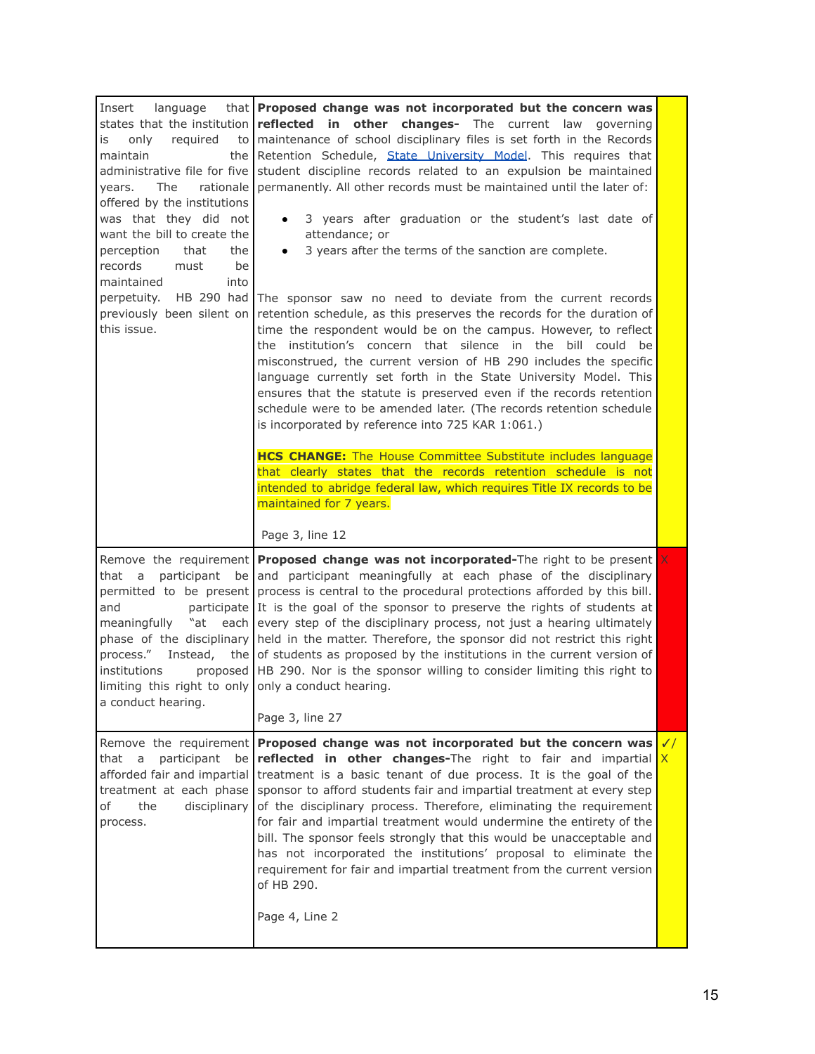| Insert<br>language<br>only<br>required<br>is<br>maintain<br>administrative file for five<br><b>The</b><br>years.<br>offered by the institutions<br>was that they did not<br>want the bill to create the<br>perception<br>that<br>the l<br>records<br>must<br>be<br>maintained<br>into<br>perpetuity.<br>previously been silent on<br>this issue. | that Proposed change was not incorporated but the concern was<br>states that the institution <b>reflected</b> in other changes- The current law<br>governing<br>to maintenance of school disciplinary files is set forth in the Records<br>the Retention Schedule, State University Model. This requires that<br>student discipline records related to an expulsion be maintained<br>rationale   permanently. All other records must be maintained until the later of:<br>3 years after graduation or the student's last date of<br>$\bullet$<br>attendance; or<br>3 years after the terms of the sanction are complete.<br>$\bullet$<br>HB 290 had The sponsor saw no need to deviate from the current records<br>retention schedule, as this preserves the records for the duration of<br>time the respondent would be on the campus. However, to reflect<br>the institution's concern that silence in the<br>bill could be<br>misconstrued, the current version of HB 290 includes the specific<br>language currently set forth in the State University Model. This<br>ensures that the statute is preserved even if the records retention<br>schedule were to be amended later. (The records retention schedule<br>is incorporated by reference into 725 KAR 1:061.)<br><b>HCS CHANGE:</b> The House Committee Substitute includes language<br>that clearly states that the records retention schedule is not<br>intended to abridge federal law, which requires Title IX records to be<br>maintained for 7 years. |              |
|--------------------------------------------------------------------------------------------------------------------------------------------------------------------------------------------------------------------------------------------------------------------------------------------------------------------------------------------------|------------------------------------------------------------------------------------------------------------------------------------------------------------------------------------------------------------------------------------------------------------------------------------------------------------------------------------------------------------------------------------------------------------------------------------------------------------------------------------------------------------------------------------------------------------------------------------------------------------------------------------------------------------------------------------------------------------------------------------------------------------------------------------------------------------------------------------------------------------------------------------------------------------------------------------------------------------------------------------------------------------------------------------------------------------------------------------------------------------------------------------------------------------------------------------------------------------------------------------------------------------------------------------------------------------------------------------------------------------------------------------------------------------------------------------------------------------------------------------------------------------------------|--------------|
| that<br>participant<br>a<br>and<br>meaningfully "at<br>process."<br>institutions<br>limiting this right to only only a conduct hearing.<br>a conduct hearing.                                                                                                                                                                                    | Page 3, line 12<br>Remove the requirement <b>Proposed change was not incorporated-</b> The right to be present<br>be and participant meaningfully at each phase of the disciplinary<br>permitted to be present process is central to the procedural protections afforded by this bill.<br>participate It is the goal of the sponsor to preserve the rights of students at<br>each every step of the disciplinary process, not just a hearing ultimately<br>phase of the disciplinary held in the matter. Therefore, the sponsor did not restrict this right<br>Instead, the of students as proposed by the institutions in the current version of<br>proposed HB 290. Nor is the sponsor willing to consider limiting this right to<br>Page 3, line 27                                                                                                                                                                                                                                                                                                                                                                                                                                                                                                                                                                                                                                                                                                                                                                 | $\chi$       |
| participant<br>that<br>a<br>afforded fair and impartial<br>the<br>disciplinary<br>of<br>process.                                                                                                                                                                                                                                                 | Remove the requirement Proposed change was not incorporated but the concern was<br>be reflected in other changes-The right to fair and impartial $X$<br>treatment is a basic tenant of due process. It is the goal of the<br>treatment at each phase sponsor to afford students fair and impartial treatment at every step<br>of the disciplinary process. Therefore, eliminating the requirement<br>for fair and impartial treatment would undermine the entirety of the<br>bill. The sponsor feels strongly that this would be unacceptable and<br>has not incorporated the institutions' proposal to eliminate the<br>requirement for fair and impartial treatment from the current version<br>of HB 290.<br>Page 4, Line 2                                                                                                                                                                                                                                                                                                                                                                                                                                                                                                                                                                                                                                                                                                                                                                                         | $\checkmark$ |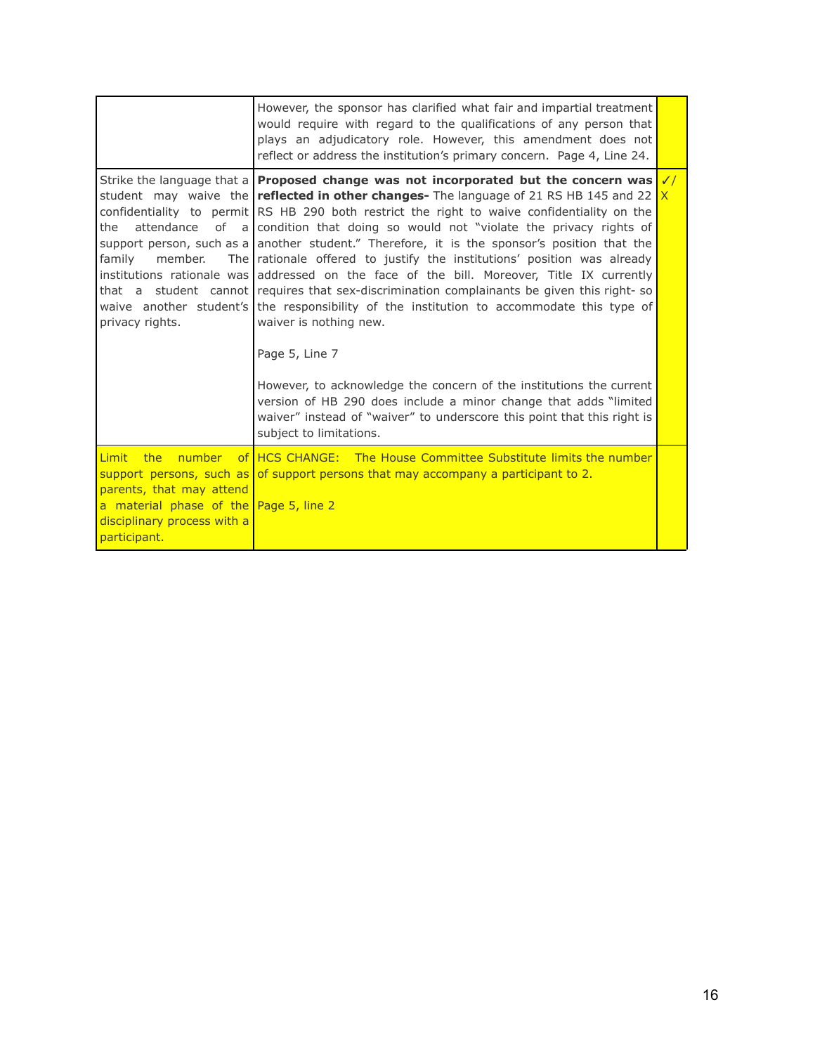|                                                                                                                                | However, the sponsor has clarified what fair and impartial treatment<br>would require with regard to the qualifications of any person that<br>plays an adjudicatory role. However, this amendment does not<br>reflect or address the institution's primary concern. Page 4, Line 24.                                                                                                                                                                                                                                                                                                                                                                                                                                                                                                                                                                                                                                                                                                                                                                                                                                                               |              |
|--------------------------------------------------------------------------------------------------------------------------------|----------------------------------------------------------------------------------------------------------------------------------------------------------------------------------------------------------------------------------------------------------------------------------------------------------------------------------------------------------------------------------------------------------------------------------------------------------------------------------------------------------------------------------------------------------------------------------------------------------------------------------------------------------------------------------------------------------------------------------------------------------------------------------------------------------------------------------------------------------------------------------------------------------------------------------------------------------------------------------------------------------------------------------------------------------------------------------------------------------------------------------------------------|--------------|
| the<br>attendance<br>family<br>member.<br>privacy rights.                                                                      | Strike the language that a <b>Proposed change was not incorporated but the concern was</b><br>student may waive the <b>reflected in other changes-</b> The language of 21 RS HB 145 and 22 $\overline{X}$<br>confidentiality to permit RS HB 290 both restrict the right to waive confidentiality on the<br>of a condition that doing so would not "violate the privacy rights of<br>support person, such as a another student." Therefore, it is the sponsor's position that the<br>The rationale offered to justify the institutions' position was already<br>institutions rationale was addressed on the face of the bill. Moreover, Title IX currently<br>that a student cannot requires that sex-discrimination complainants be given this right-so<br>waive another student's the responsibility of the institution to accommodate this type of<br>waiver is nothing new.<br>Page 5, Line 7<br>However, to acknowledge the concern of the institutions the current<br>version of HB 290 does include a minor change that adds "limited<br>waiver" instead of "waiver" to underscore this point that this right is<br>subject to limitations. | $\checkmark$ |
| Limit the<br>parents, that may attend<br>a material phase of the Page 5, line 2<br>disciplinary process with a<br>participant. | number of HCS CHANGE: The House Committee Substitute limits the number<br>support persons, such as of support persons that may accompany a participant to 2.                                                                                                                                                                                                                                                                                                                                                                                                                                                                                                                                                                                                                                                                                                                                                                                                                                                                                                                                                                                       |              |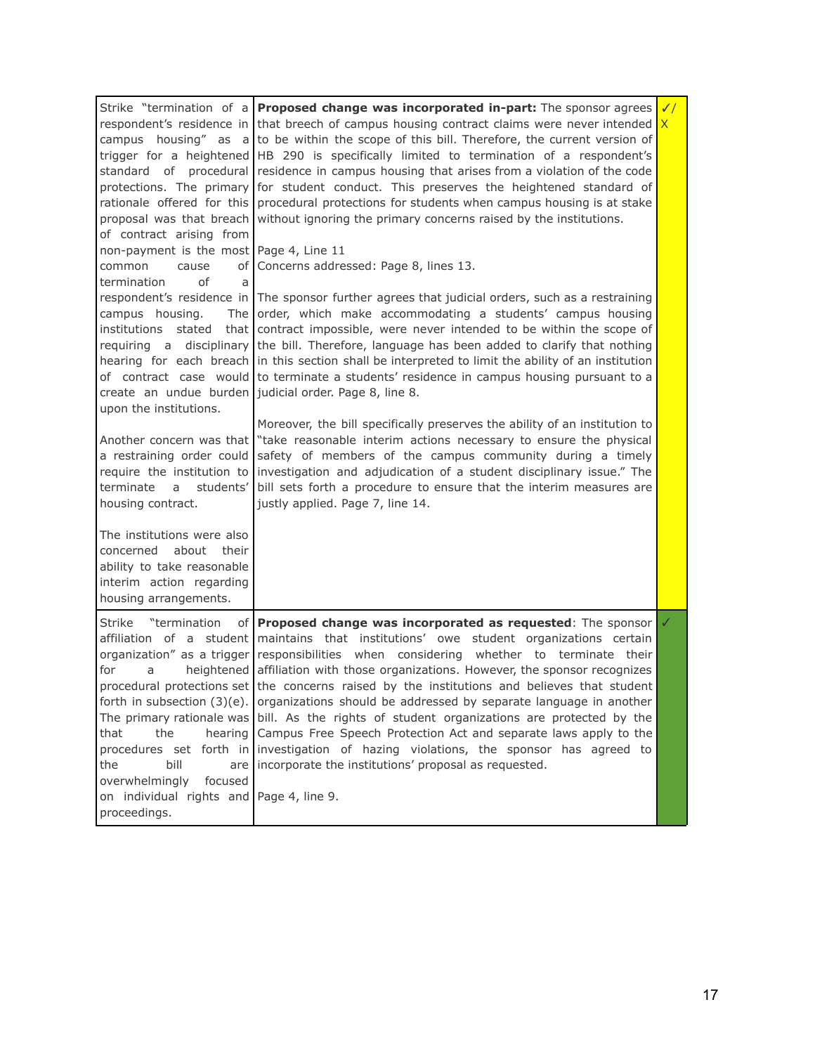| of contract arising from<br>non-payment is the most   Page 4, Line $11$<br>common<br>of <sub>l</sub><br>cause<br>termination<br>of<br>a<br>campus housing.<br>The l<br>institutions<br>stated<br>that I<br>requiring a                                                                | Strike "termination of a <b>Proposed change was incorporated in-part:</b> The sponsor agrees<br>respondent's residence in that breech of campus housing contract claims were never intended $X$<br>campus housing" as a to be within the scope of this bill. Therefore, the current version of<br>trigger for a heightened HB 290 is specifically limited to termination of a respondent's<br>standard of procedural residence in campus housing that arises from a violation of the code<br>protections. The primary for student conduct. This preserves the heightened standard of<br>rationale offered for this procedural protections for students when campus housing is at stake<br>proposal was that breach without ignoring the primary concerns raised by the institutions.<br>Concerns addressed: Page 8, lines 13.<br>respondent's residence in The sponsor further agrees that judicial orders, such as a restraining<br>order, which make accommodating a students' campus housing<br>contract impossible, were never intended to be within the scope of<br>disciplinary the bill. Therefore, language has been added to clarify that nothing | $\checkmark$ |
|---------------------------------------------------------------------------------------------------------------------------------------------------------------------------------------------------------------------------------------------------------------------------------------|------------------------------------------------------------------------------------------------------------------------------------------------------------------------------------------------------------------------------------------------------------------------------------------------------------------------------------------------------------------------------------------------------------------------------------------------------------------------------------------------------------------------------------------------------------------------------------------------------------------------------------------------------------------------------------------------------------------------------------------------------------------------------------------------------------------------------------------------------------------------------------------------------------------------------------------------------------------------------------------------------------------------------------------------------------------------------------------------------------------------------------------------------------|--------------|
| upon the institutions.<br>a restraining order could<br>require the institution to<br>terminate<br>students'<br>a<br>housing contract.<br>The institutions were also<br>about<br>concerned<br>their<br>ability to take reasonable<br>interim action regarding<br>housing arrangements. | hearing for each breach in this section shall be interpreted to limit the ability of an institution<br>of contract case would to terminate a students' residence in campus housing pursuant to a<br>create an undue burden judicial order. Page 8, line 8.<br>Moreover, the bill specifically preserves the ability of an institution to<br>Another concern was that   "take reasonable interim actions necessary to ensure the physical<br>safety of members of the campus community during a timely<br>investigation and adjudication of a student disciplinary issue." The<br>bill sets forth a procedure to ensure that the interim measures are<br>justly applied. Page 7, line 14.                                                                                                                                                                                                                                                                                                                                                                                                                                                                   |              |
| "termination<br>Strike<br>for<br>a<br>the<br>that<br>hearing<br>bill<br>the<br>are<br>focused<br>overwhelmingly<br>on individual rights and Page 4, line 9.<br>proceedings.                                                                                                           | of <b>Proposed change was incorporated as requested</b> : The sponsor<br>affiliation of a student maintains that institutions' owe student organizations certain<br>organization" as a trigger responsibilities when considering whether to terminate their<br>heightened affiliation with those organizations. However, the sponsor recognizes<br>procedural protections set the concerns raised by the institutions and believes that student<br>forth in subsection $(3)(e)$ . organizations should be addressed by separate language in another<br>The primary rationale was bill. As the rights of student organizations are protected by the<br>Campus Free Speech Protection Act and separate laws apply to the<br>procedures set forth in investigation of hazing violations, the sponsor has agreed to<br>incorporate the institutions' proposal as requested.                                                                                                                                                                                                                                                                                    | ✓            |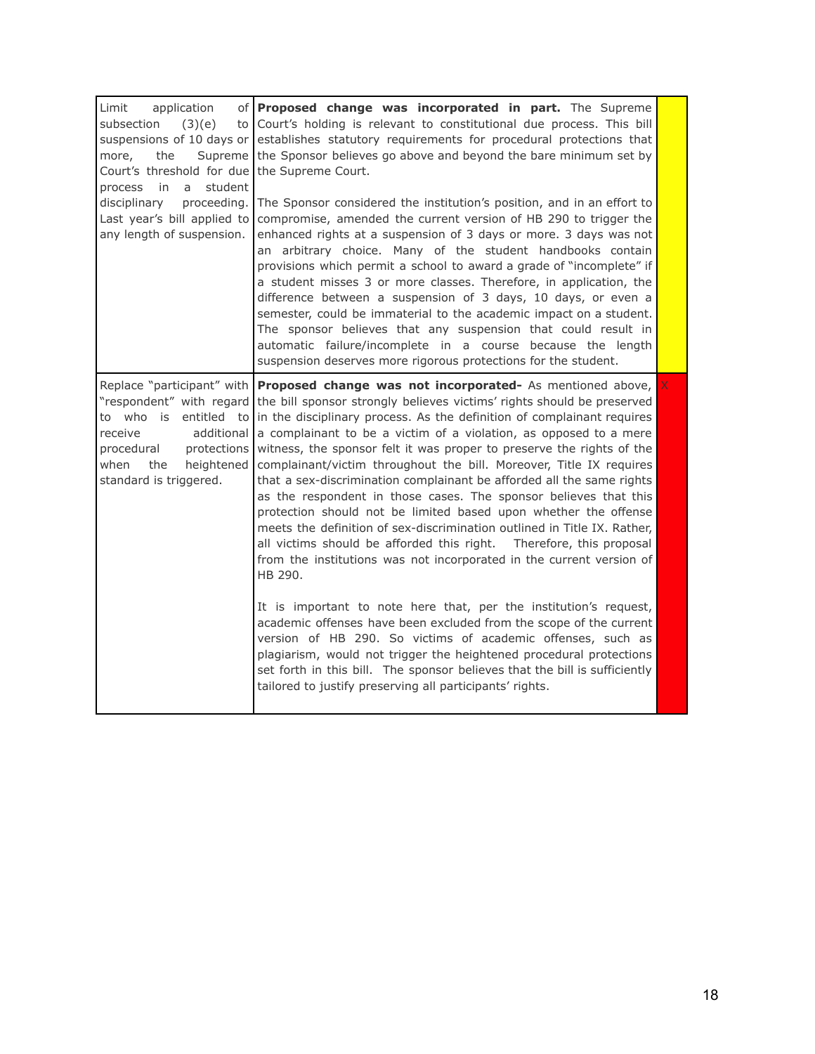| Limit<br>application<br>of l<br>subsection<br>(3)(e)<br>to I<br>suspensions of 10 days or<br>more,<br>the<br>Supreme<br>Court's threshold for due<br>in<br>student<br>process<br>a<br>disciplinary<br>proceeding.<br>Last year's bill applied to<br>any length of suspension. | Proposed change was incorporated in part. The Supreme<br>Court's holding is relevant to constitutional due process. This bill<br>establishes statutory requirements for procedural protections that<br>the Sponsor believes go above and beyond the bare minimum set by<br>the Supreme Court.<br>The Sponsor considered the institution's position, and in an effort to<br>compromise, amended the current version of HB 290 to trigger the<br>enhanced rights at a suspension of 3 days or more. 3 days was not<br>an arbitrary choice. Many of the student handbooks contain<br>provisions which permit a school to award a grade of "incomplete" if<br>a student misses 3 or more classes. Therefore, in application, the<br>difference between a suspension of 3 days, 10 days, or even a<br>semester, could be immaterial to the academic impact on a student.<br>The sponsor believes that any suspension that could result in<br>automatic failure/incomplete in a course because the length<br>suspension deserves more rigorous protections for the student.                                                                                                                                                                                                                                               |   |
|-------------------------------------------------------------------------------------------------------------------------------------------------------------------------------------------------------------------------------------------------------------------------------|---------------------------------------------------------------------------------------------------------------------------------------------------------------------------------------------------------------------------------------------------------------------------------------------------------------------------------------------------------------------------------------------------------------------------------------------------------------------------------------------------------------------------------------------------------------------------------------------------------------------------------------------------------------------------------------------------------------------------------------------------------------------------------------------------------------------------------------------------------------------------------------------------------------------------------------------------------------------------------------------------------------------------------------------------------------------------------------------------------------------------------------------------------------------------------------------------------------------------------------------------------------------------------------------------------------------|---|
| Replace "participant" with<br>"respondent" with regard<br>to who is<br>entitled to<br>additional<br>receive<br>protections<br>procedural<br>when<br>heightened<br>the<br>standard is triggered.                                                                               | Proposed change was not incorporated- As mentioned above,<br>the bill sponsor strongly believes victims' rights should be preserved<br>in the disciplinary process. As the definition of complainant requires<br>a complainant to be a victim of a violation, as opposed to a mere<br>witness, the sponsor felt it was proper to preserve the rights of the<br>complainant/victim throughout the bill. Moreover, Title IX requires<br>that a sex-discrimination complainant be afforded all the same rights<br>as the respondent in those cases. The sponsor believes that this<br>protection should not be limited based upon whether the offense<br>meets the definition of sex-discrimination outlined in Title IX. Rather,<br>all victims should be afforded this right. Therefore, this proposal<br>from the institutions was not incorporated in the current version of<br>HB 290.<br>It is important to note here that, per the institution's request,<br>academic offenses have been excluded from the scope of the current<br>version of HB 290. So victims of academic offenses, such as<br>plagiarism, would not trigger the heightened procedural protections<br>set forth in this bill. The sponsor believes that the bill is sufficiently<br>tailored to justify preserving all participants' rights. | X |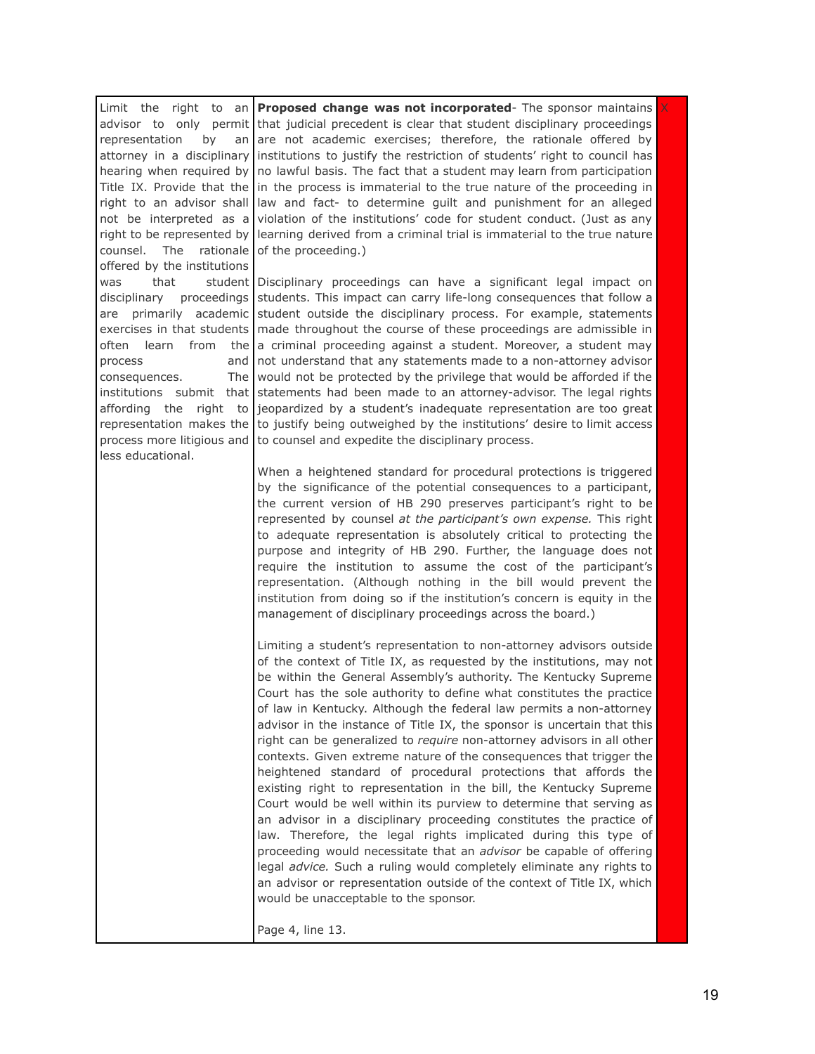Limit the right to an representation by an attorney in a disciplinary hearing when required by right to an advisor shall not be interpreted as a right to be represented by counsel. The rationale of the proceeding.) offered by the institutions exercises in that students process and consequences. institutions submit that affording the right to less educational.

advisor to only permit that judicial precedent is clear that student disciplinary proceedings Title IX. Provide that the in the process is immaterial to the true nature of the proceeding in **Proposed change was not incorporated**- The sponsor maintains are not academic exercises; therefore, the rationale offered by institutions to justify the restriction of students' right to council has no lawful basis. The fact that a student may learn from participation law and fact- to determine guilt and punishment for an alleged violation of the institutions' code for student conduct. (Just as any learning derived from a criminal trial is immaterial to the true nature

was that student Disciplinary proceedings can have a significant legal impact on disciplinary proceedings students. This impact can carry life-long consequences that follow a are primarily academic student outside the disciplinary process. For example, statements often learn from the a criminal proceeding against a student. Moreover, a student may representation makes the to justify being outweighed by the institutions' desire to limit access process more litigious and to counsel and expedite the disciplinary process. made throughout the course of these proceedings are admissible in not understand that any statements made to a non-attorney advisor The would not be protected by the privilege that would be afforded if the statements had been made to an attorney-advisor. The legal rights jeopardized by a student's inadequate representation are too great

> When a heightened standard for procedural protections is triggered by the significance of the potential consequences to a participant, the current version of HB 290 preserves participant's right to be represented by counsel *at the participant's own expense.* This right to adequate representation is absolutely critical to protecting the purpose and integrity of HB 290. Further, the language does not require the institution to assume the cost of the participant's representation. (Although nothing in the bill would prevent the institution from doing so if the institution's concern is equity in the management of disciplinary proceedings across the board.)

> Limiting a student's representation to non-attorney advisors outside of the context of Title IX, as requested by the institutions, may not be within the General Assembly's authority. The Kentucky Supreme Court has the sole authority to define what constitutes the practice of law in Kentucky. Although the federal law permits a non-attorney advisor in the instance of Title IX, the sponsor is uncertain that this right can be generalized to *require* non-attorney advisors in all other contexts. Given extreme nature of the consequences that trigger the heightened standard of procedural protections that affords the existing right to representation in the bill, the Kentucky Supreme Court would be well within its purview to determine that serving as an advisor in a disciplinary proceeding constitutes the practice of law. Therefore, the legal rights implicated during this type of proceeding would necessitate that an *advisor* be capable of offering legal *advice.* Such a ruling would completely eliminate any rights to an advisor or representation outside of the context of Title IX, which would be unacceptable to the sponsor.

Page 4, line 13.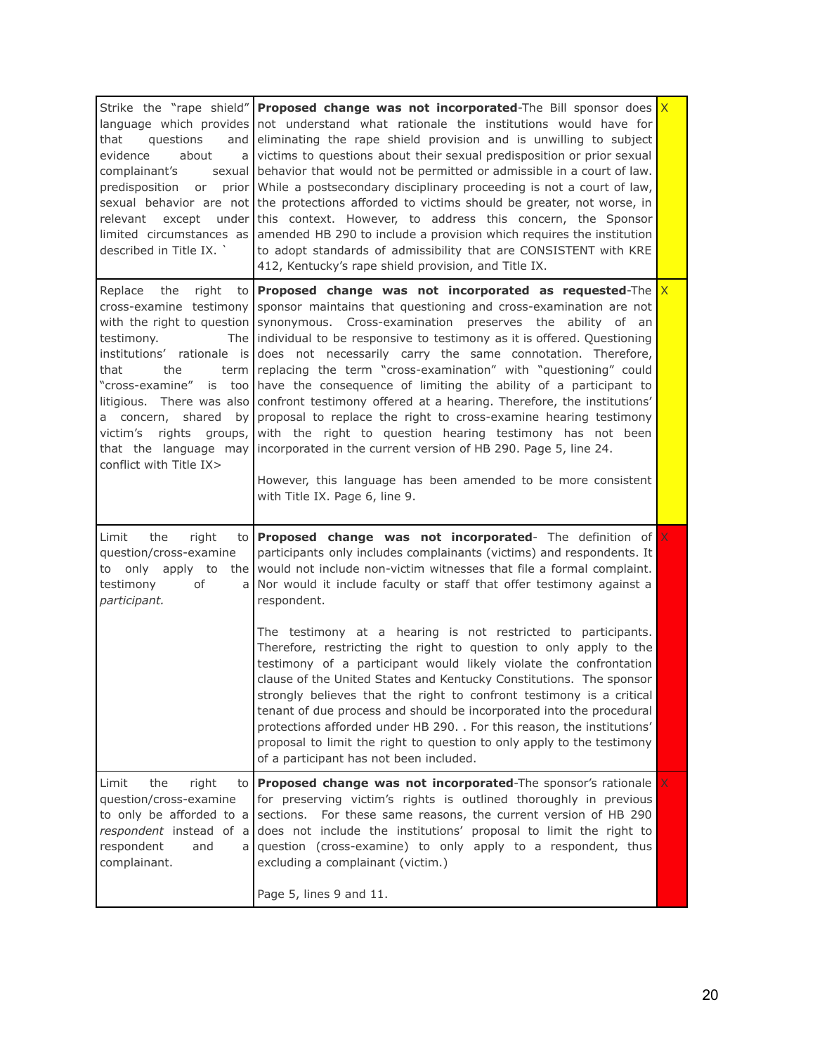| and<br>that<br>questions<br>evidence<br>about<br>a l<br>complainant's<br>sexual  <br>predisposition<br>prior<br>or<br>except<br>relevant<br>limited circumstances as<br>described in Title IX. `                                                                         | Strike the "rape shield" <b>Proposed change was not incorporated</b> -The Bill sponsor does $X$<br>language which provides not understand what rationale the institutions would have for<br>eliminating the rape shield provision and is unwilling to subject<br>victims to questions about their sexual predisposition or prior sexual<br>behavior that would not be permitted or admissible in a court of law.<br>While a postsecondary disciplinary proceeding is not a court of law,<br>sexual behavior are not the protections afforded to victims should be greater, not worse, in<br>under this context. However, to address this concern, the Sponsor<br>amended HB 290 to include a provision which requires the institution<br>to adopt standards of admissibility that are CONSISTENT with KRE<br>412, Kentucky's rape shield provision, and Title IX.                                                                              |                                               |
|--------------------------------------------------------------------------------------------------------------------------------------------------------------------------------------------------------------------------------------------------------------------------|------------------------------------------------------------------------------------------------------------------------------------------------------------------------------------------------------------------------------------------------------------------------------------------------------------------------------------------------------------------------------------------------------------------------------------------------------------------------------------------------------------------------------------------------------------------------------------------------------------------------------------------------------------------------------------------------------------------------------------------------------------------------------------------------------------------------------------------------------------------------------------------------------------------------------------------------|-----------------------------------------------|
| the<br>Replace<br>right<br>testimony.<br>The I<br>institutions' rationale is<br>the<br>that<br>term  <br>"cross-examine"<br>is too<br>litigious. There was also<br>shared<br>by <sub>l</sub><br>a concern,<br>victim's<br>rights<br>groups,  <br>conflict with Title IX> | to Proposed change was not incorporated as requested-The $X$<br>cross-examine testimony sponsor maintains that questioning and cross-examination are not<br>with the right to question synonymous. Cross-examination preserves the ability<br>of<br>an<br>individual to be responsive to testimony as it is offered. Questioning<br>does not necessarily carry the same connotation. Therefore,<br>replacing the term "cross-examination" with "questioning" could<br>have the consequence of limiting the ability of a participant to<br>confront testimony offered at a hearing. Therefore, the institutions'<br>proposal to replace the right to cross-examine hearing testimony<br>with the right to question hearing testimony has not been<br>that the language may   incorporated in the current version of HB 290. Page 5, line 24.<br>However, this language has been amended to be more consistent<br>with Title IX. Page 6, line 9. |                                               |
| right<br>Limit<br>the<br>to I<br>question/cross-examine<br>to only apply to<br>the I<br>testimony<br>of<br>a<br>participant.                                                                                                                                             | <b>Proposed change was not incorporated-</b> The definition of X<br>participants only includes complainants (victims) and respondents. It<br>would not include non-victim witnesses that file a formal complaint.<br>Nor would it include faculty or staff that offer testimony against a<br>respondent.                                                                                                                                                                                                                                                                                                                                                                                                                                                                                                                                                                                                                                       |                                               |
|                                                                                                                                                                                                                                                                          | The testimony at a hearing is not restricted to participants.<br>Therefore, restricting the right to question to only apply to the<br>testimony of a participant would likely violate the confrontation<br>clause of the United States and Kentucky Constitutions. The sponsor<br>strongly believes that the right to confront testimony is a critical<br>tenant of due process and should be incorporated into the procedural<br>protections afforded under HB 290. . For this reason, the institutions'<br>proposal to limit the right to question to only apply to the testimony<br>of a participant has not been included.                                                                                                                                                                                                                                                                                                                 |                                               |
| the<br>right<br>Limit<br>to I<br>question/cross-examine<br>to only be afforded to a<br>respondent instead of a<br>respondent<br>and<br>a l<br>complainant.                                                                                                               | Proposed change was not incorporated-The sponsor's rationale<br>for preserving victim's rights is outlined thoroughly in previous<br>sections.<br>For these same reasons, the current version of HB 290<br>does not include the institutions' proposal to limit the right to<br>question (cross-examine) to only apply to a respondent, thus<br>excluding a complainant (victim.)                                                                                                                                                                                                                                                                                                                                                                                                                                                                                                                                                              | $\mathsf{X}^{\scriptscriptstyle{\mathsf{c}}}$ |
|                                                                                                                                                                                                                                                                          | Page 5, lines 9 and 11.                                                                                                                                                                                                                                                                                                                                                                                                                                                                                                                                                                                                                                                                                                                                                                                                                                                                                                                        |                                               |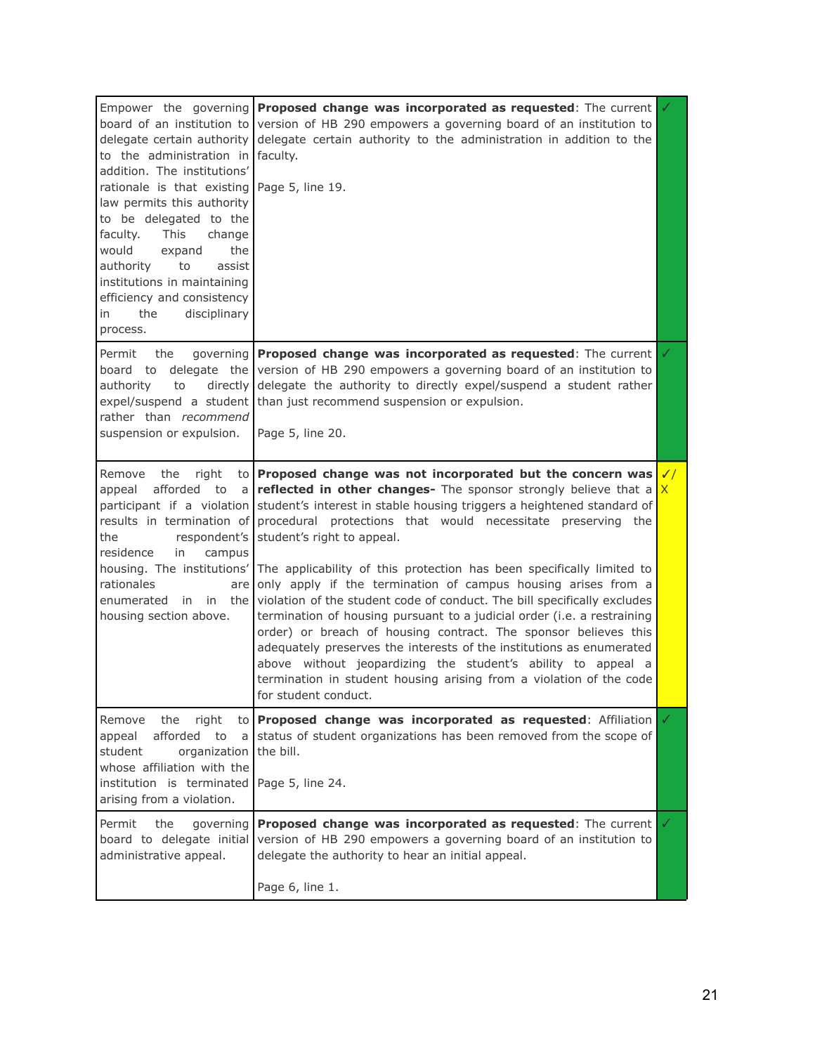| Empower the governing<br>board of an institution to<br>delegate certain authority<br>to the administration in<br>addition. The institutions'<br>rationale is that existing<br>law permits this authority<br>to be delegated to the<br>This<br>faculty.<br>change<br>would<br>expand<br>the<br>authority<br>to<br>assist<br>institutions in maintaining<br>efficiency and consistency<br>disciplinary<br>the<br>in.<br>process. | Proposed change was incorporated as requested: The current<br>version of HB 290 empowers a governing board of an institution to<br>delegate certain authority to the administration in addition to the<br>faculty.<br>Page 5, line 19.                                                                                                                                                                                                                                                                                                                                                                                                                                                                                                                                                                                                                                                                            |                    |
|--------------------------------------------------------------------------------------------------------------------------------------------------------------------------------------------------------------------------------------------------------------------------------------------------------------------------------------------------------------------------------------------------------------------------------|-------------------------------------------------------------------------------------------------------------------------------------------------------------------------------------------------------------------------------------------------------------------------------------------------------------------------------------------------------------------------------------------------------------------------------------------------------------------------------------------------------------------------------------------------------------------------------------------------------------------------------------------------------------------------------------------------------------------------------------------------------------------------------------------------------------------------------------------------------------------------------------------------------------------|--------------------|
| Permit<br>the<br>qoverning<br>delegate the<br>board to<br>authority<br>to<br>directly<br>expel/suspend a student<br>rather than recommend<br>suspension or expulsion.                                                                                                                                                                                                                                                          | Proposed change was incorporated as requested: The current<br>version of HB 290 empowers a governing board of an institution to<br>delegate the authority to directly expel/suspend a student rather<br>than just recommend suspension or expulsion.<br>Page 5, line 20.                                                                                                                                                                                                                                                                                                                                                                                                                                                                                                                                                                                                                                          |                    |
| right<br>Remove<br>the<br>afforded to<br>appeal<br>a l<br>participant if a violation<br>results in termination of<br>respondent's<br>the<br>residence<br>campus<br>in.<br>housing. The institutions'<br>rationales<br>are<br>enumerated<br>the<br>in<br>in -<br>housing section above.                                                                                                                                         | to Proposed change was not incorporated but the concern was<br>reflected in other changes- The sponsor strongly believe that a<br>student's interest in stable housing triggers a heightened standard of<br>procedural protections that would necessitate preserving the<br>student's right to appeal.<br>The applicability of this protection has been specifically limited to<br>only apply if the termination of campus housing arises from a<br>violation of the student code of conduct. The bill specifically excludes<br>termination of housing pursuant to a judicial order (i.e. a restraining<br>order) or breach of housing contract. The sponsor believes this<br>adequately preserves the interests of the institutions as enumerated<br>above without jeopardizing the student's ability to appeal a<br>termination in student housing arising from a violation of the code<br>for student conduct. | $\checkmark$<br>X. |
| the<br>right<br>Remove<br>to I<br>afforded to<br>appeal<br>a I<br>student<br>organization<br>whose affiliation with the<br>institution is terminated<br>arising from a violation.                                                                                                                                                                                                                                              | Proposed change was incorporated as requested: Affiliation<br>status of student organizations has been removed from the scope of<br>the bill.<br>Page 5, line 24.                                                                                                                                                                                                                                                                                                                                                                                                                                                                                                                                                                                                                                                                                                                                                 |                    |
| Permit<br>the<br>qoverning<br>board to delegate initial<br>administrative appeal.                                                                                                                                                                                                                                                                                                                                              | Proposed change was incorporated as requested: The current<br>version of HB 290 empowers a governing board of an institution to<br>delegate the authority to hear an initial appeal.<br>Page 6, line 1.                                                                                                                                                                                                                                                                                                                                                                                                                                                                                                                                                                                                                                                                                                           |                    |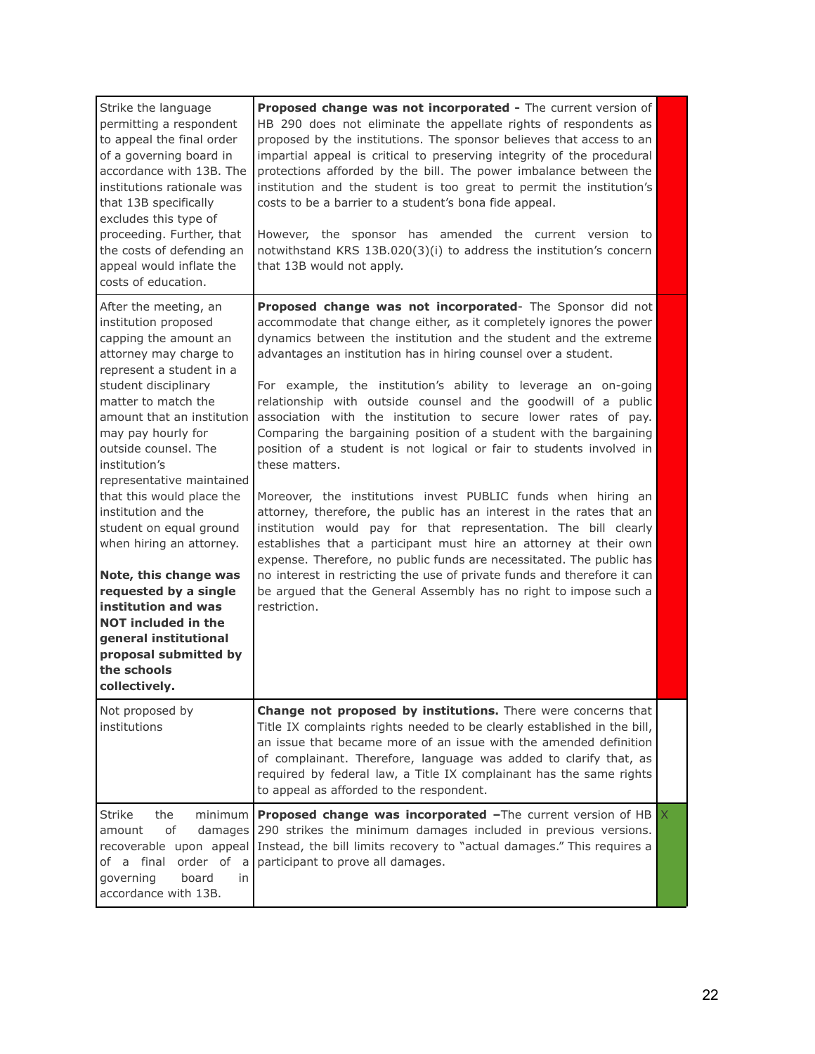| Strike the language<br>permitting a respondent<br>to appeal the final order<br>of a governing board in<br>accordance with 13B. The<br>institutions rationale was<br>that 13B specifically<br>excludes this type of<br>proceeding. Further, that<br>the costs of defending an<br>appeal would inflate the<br>costs of education.                                                                                                                                                                                                                                                                    | Proposed change was not incorporated - The current version of<br>HB 290 does not eliminate the appellate rights of respondents as<br>proposed by the institutions. The sponsor believes that access to an<br>impartial appeal is critical to preserving integrity of the procedural<br>protections afforded by the bill. The power imbalance between the<br>institution and the student is too great to permit the institution's<br>costs to be a barrier to a student's bona fide appeal.<br>However, the sponsor has amended the current version to<br>notwithstand KRS 13B.020(3)(i) to address the institution's concern<br>that 13B would not apply.                                                                                                                                                                                                                                                                                                                                                                                                                                                                                                              |  |
|----------------------------------------------------------------------------------------------------------------------------------------------------------------------------------------------------------------------------------------------------------------------------------------------------------------------------------------------------------------------------------------------------------------------------------------------------------------------------------------------------------------------------------------------------------------------------------------------------|------------------------------------------------------------------------------------------------------------------------------------------------------------------------------------------------------------------------------------------------------------------------------------------------------------------------------------------------------------------------------------------------------------------------------------------------------------------------------------------------------------------------------------------------------------------------------------------------------------------------------------------------------------------------------------------------------------------------------------------------------------------------------------------------------------------------------------------------------------------------------------------------------------------------------------------------------------------------------------------------------------------------------------------------------------------------------------------------------------------------------------------------------------------------|--|
| After the meeting, an<br>institution proposed<br>capping the amount an<br>attorney may charge to<br>represent a student in a<br>student disciplinary<br>matter to match the<br>amount that an institution<br>may pay hourly for<br>outside counsel. The<br>institution's<br>representative maintained<br>that this would place the<br>institution and the<br>student on equal ground<br>when hiring an attorney.<br>Note, this change was<br>requested by a single<br>institution and was<br>NOT included in the<br>general institutional<br>proposal submitted by<br>the schools<br>collectively. | Proposed change was not incorporated- The Sponsor did not<br>accommodate that change either, as it completely ignores the power<br>dynamics between the institution and the student and the extreme<br>advantages an institution has in hiring counsel over a student.<br>For example, the institution's ability to leverage an on-going<br>relationship with outside counsel and the goodwill of a public<br>association with the institution to secure lower rates of pay.<br>Comparing the bargaining position of a student with the bargaining<br>position of a student is not logical or fair to students involved in<br>these matters.<br>Moreover, the institutions invest PUBLIC funds when hiring an<br>attorney, therefore, the public has an interest in the rates that an<br>institution would pay for that representation. The bill clearly<br>establishes that a participant must hire an attorney at their own<br>expense. Therefore, no public funds are necessitated. The public has<br>no interest in restricting the use of private funds and therefore it can<br>be argued that the General Assembly has no right to impose such a<br>restriction. |  |
| Not proposed by<br>institutions                                                                                                                                                                                                                                                                                                                                                                                                                                                                                                                                                                    | Change not proposed by institutions. There were concerns that<br>Title IX complaints rights needed to be clearly established in the bill,<br>an issue that became more of an issue with the amended definition<br>of complainant. Therefore, language was added to clarify that, as<br>required by federal law, a Title IX complainant has the same rights<br>to appeal as afforded to the respondent.                                                                                                                                                                                                                                                                                                                                                                                                                                                                                                                                                                                                                                                                                                                                                                 |  |
| <b>Strike</b><br>the<br>minimum<br>of<br>damages<br>amount<br>of a final<br>order of a<br>governing<br>board<br>in<br>accordance with 13B.                                                                                                                                                                                                                                                                                                                                                                                                                                                         | <b>Proposed change was incorporated -The current version of HB <math>\overline{X}</math></b><br>290 strikes the minimum damages included in previous versions.<br>recoverable upon appeal Instead, the bill limits recovery to "actual damages." This requires a<br>participant to prove all damages.                                                                                                                                                                                                                                                                                                                                                                                                                                                                                                                                                                                                                                                                                                                                                                                                                                                                  |  |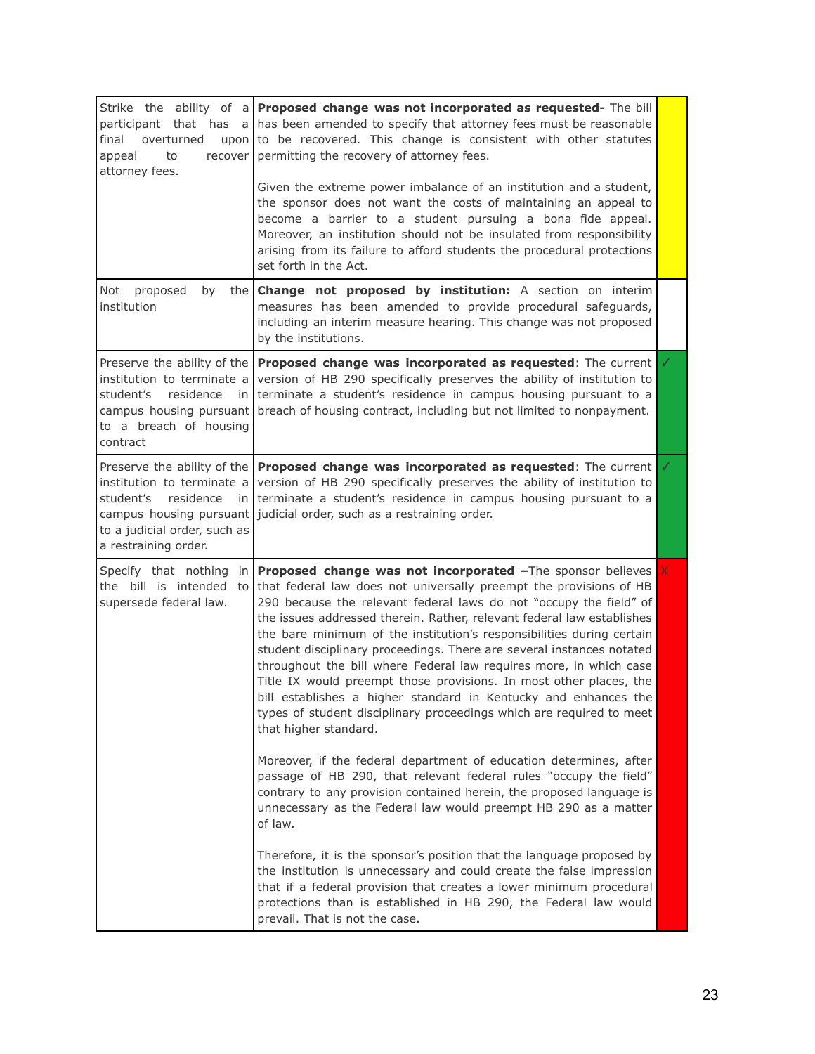| participant<br>that has $a$<br>final<br>overturned<br>upon  <br>appeal<br>to<br>recover<br>attorney fees.                                                  | Strike the ability of a <b>Proposed change was not incorporated as requested</b> - The bill<br>has been amended to specify that attorney fees must be reasonable<br>to be recovered. This change is consistent with other statutes<br>permitting the recovery of attorney fees.<br>Given the extreme power imbalance of an institution and a student,<br>the sponsor does not want the costs of maintaining an appeal to<br>become a barrier to a student pursuing a bona fide appeal.<br>Moreover, an institution should not be insulated from responsibility<br>arising from its failure to afford students the procedural protections<br>set forth in the Act.                                                                                                                                                                                                                                                            |    |
|------------------------------------------------------------------------------------------------------------------------------------------------------------|------------------------------------------------------------------------------------------------------------------------------------------------------------------------------------------------------------------------------------------------------------------------------------------------------------------------------------------------------------------------------------------------------------------------------------------------------------------------------------------------------------------------------------------------------------------------------------------------------------------------------------------------------------------------------------------------------------------------------------------------------------------------------------------------------------------------------------------------------------------------------------------------------------------------------|----|
| Not<br>proposed<br>by<br>the I<br>institution                                                                                                              | Change not proposed by institution: A section on interim<br>measures has been amended to provide procedural safeguards,<br>including an interim measure hearing. This change was not proposed<br>by the institutions.                                                                                                                                                                                                                                                                                                                                                                                                                                                                                                                                                                                                                                                                                                        |    |
| Preserve the ability of the<br>institution to terminate a<br>student's<br>residence<br>in<br>campus housing pursuant<br>to a breach of housing<br>contract | Proposed change was incorporated as requested: The current<br>version of HB 290 specifically preserves the ability of institution to<br>terminate a student's residence in campus housing pursuant to a<br>breach of housing contract, including but not limited to nonpayment.                                                                                                                                                                                                                                                                                                                                                                                                                                                                                                                                                                                                                                              |    |
| institution to terminate a<br>student's<br>residence<br>in I<br>to a judicial order, such as<br>a restraining order.                                       | Preserve the ability of the <b>Proposed change was incorporated as requested</b> : The current<br>version of HB 290 specifically preserves the ability of institution to<br>terminate a student's residence in campus housing pursuant to a<br>campus housing pursuant judicial order, such as a restraining order.                                                                                                                                                                                                                                                                                                                                                                                                                                                                                                                                                                                                          |    |
| the bill is intended<br>to I<br>supersede federal law.                                                                                                     | Specify that nothing in <b>Proposed change was not incorporated</b> -The sponsor believes<br>that federal law does not universally preempt the provisions of HB<br>290 because the relevant federal laws do not "occupy the field" of<br>the issues addressed therein. Rather, relevant federal law establishes<br>the bare minimum of the institution's responsibilities during certain<br>student disciplinary proceedings. There are several instances notated<br>throughout the bill where Federal law requires more, in which case<br>Title IX would preempt those provisions. In most other places, the<br>bill establishes a higher standard in Kentucky and enhances the<br>types of student disciplinary proceedings which are required to meet<br>that higher standard.<br>Moreover, if the federal department of education determines, after<br>passage of HB 290, that relevant federal rules "occupy the field" | X. |
|                                                                                                                                                            | contrary to any provision contained herein, the proposed language is<br>unnecessary as the Federal law would preempt HB 290 as a matter<br>of law.                                                                                                                                                                                                                                                                                                                                                                                                                                                                                                                                                                                                                                                                                                                                                                           |    |
|                                                                                                                                                            | Therefore, it is the sponsor's position that the language proposed by<br>the institution is unnecessary and could create the false impression<br>that if a federal provision that creates a lower minimum procedural<br>protections than is established in HB 290, the Federal law would<br>prevail. That is not the case.                                                                                                                                                                                                                                                                                                                                                                                                                                                                                                                                                                                                   |    |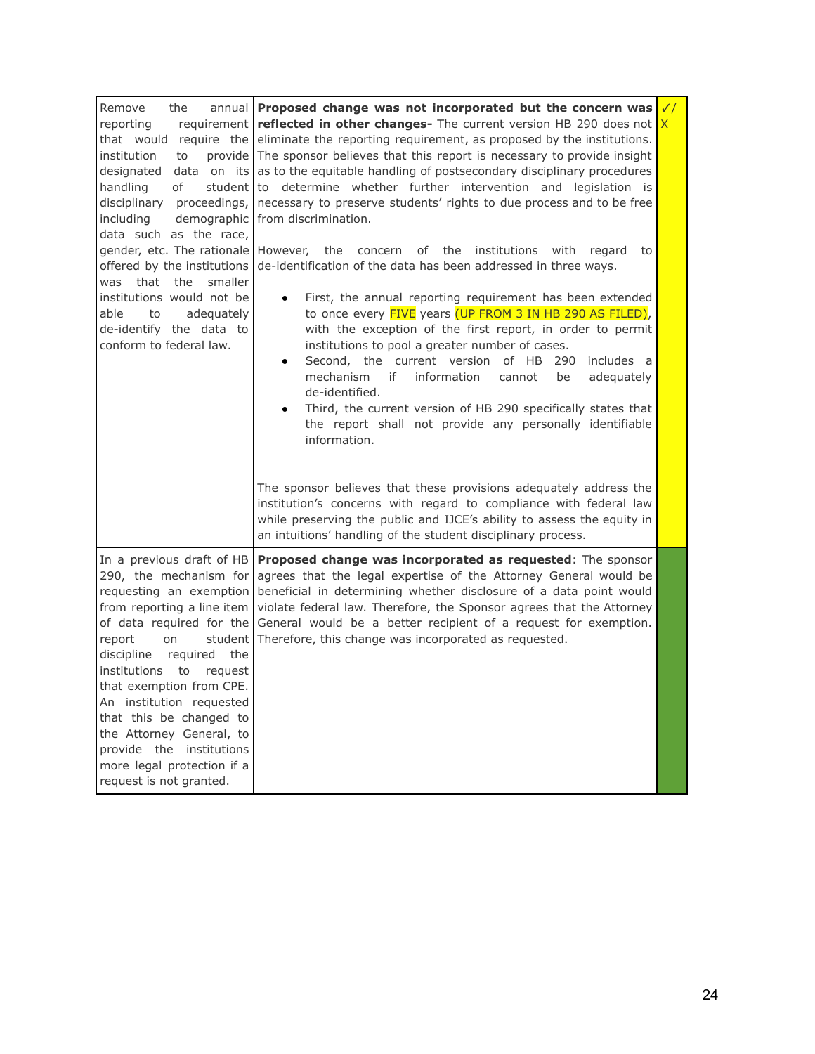| Remove<br>the<br>annual  <br>requirement  <br>reporting<br>institution<br>provide<br>to<br>designated<br>data on its<br>handling<br>of<br>student l<br>proceedings,<br>disciplinary<br>demographic<br>including<br>data such as the race,<br>gender, etc. The rationale However,<br>offered by the institutions<br>the<br>smaller<br>that<br>was<br>institutions would not be<br>able<br>adequately<br>to<br>de-identify the data to<br>conform to federal law. | Proposed change was not incorporated but the concern was<br><b>reflected in other changes-</b> The current version HB 290 does not $X$<br>that would require the eliminate the reporting requirement, as proposed by the institutions.<br>The sponsor believes that this report is necessary to provide insight<br>as to the equitable handling of postsecondary disciplinary procedures<br>to determine whether further intervention and legislation is<br>necessary to preserve students' rights to due process and to be free<br>from discrimination.<br>the<br>institutions<br>concern<br>of<br>the<br>with<br>regard<br>to<br>de-identification of the data has been addressed in three ways.<br>First, the annual reporting requirement has been extended<br>to once every <b>FIVE</b> years (UP FROM 3 IN HB 290 AS FILED),<br>with the exception of the first report, in order to permit<br>institutions to pool a greater number of cases.<br>Second, the current version of HB<br>includes a<br>290<br>$\bullet$<br>mechanism<br>if<br>information<br>adequately<br>cannot<br>be<br>de-identified.<br>Third, the current version of HB 290 specifically states that<br>$\bullet$<br>the report shall not provide any personally identifiable<br>information. | $\checkmark$ |
|-----------------------------------------------------------------------------------------------------------------------------------------------------------------------------------------------------------------------------------------------------------------------------------------------------------------------------------------------------------------------------------------------------------------------------------------------------------------|------------------------------------------------------------------------------------------------------------------------------------------------------------------------------------------------------------------------------------------------------------------------------------------------------------------------------------------------------------------------------------------------------------------------------------------------------------------------------------------------------------------------------------------------------------------------------------------------------------------------------------------------------------------------------------------------------------------------------------------------------------------------------------------------------------------------------------------------------------------------------------------------------------------------------------------------------------------------------------------------------------------------------------------------------------------------------------------------------------------------------------------------------------------------------------------------------------------------------------------------------------------------|--------------|
|                                                                                                                                                                                                                                                                                                                                                                                                                                                                 | The sponsor believes that these provisions adequately address the<br>institution's concerns with regard to compliance with federal law<br>while preserving the public and IJCE's ability to assess the equity in<br>an intuitions' handling of the student disciplinary process.                                                                                                                                                                                                                                                                                                                                                                                                                                                                                                                                                                                                                                                                                                                                                                                                                                                                                                                                                                                       |              |
| In a previous draft of HB<br>290, the mechanism for<br>requesting an exemption<br>from reporting a line item<br>of data required for the<br>report<br>student<br>on<br>discipline<br>required<br>the<br>institutions<br>to<br>request<br>that exemption from CPE.<br>An institution requested<br>that this be changed to<br>the Attorney General, to<br>provide the institutions<br>more legal protection if a<br>request is not granted.                       | <b>Proposed change was incorporated as requested:</b> The sponsor<br>agrees that the legal expertise of the Attorney General would be<br>beneficial in determining whether disclosure of a data point would<br>violate federal law. Therefore, the Sponsor agrees that the Attorney<br>General would be a better recipient of a request for exemption.<br>Therefore, this change was incorporated as requested.                                                                                                                                                                                                                                                                                                                                                                                                                                                                                                                                                                                                                                                                                                                                                                                                                                                        |              |